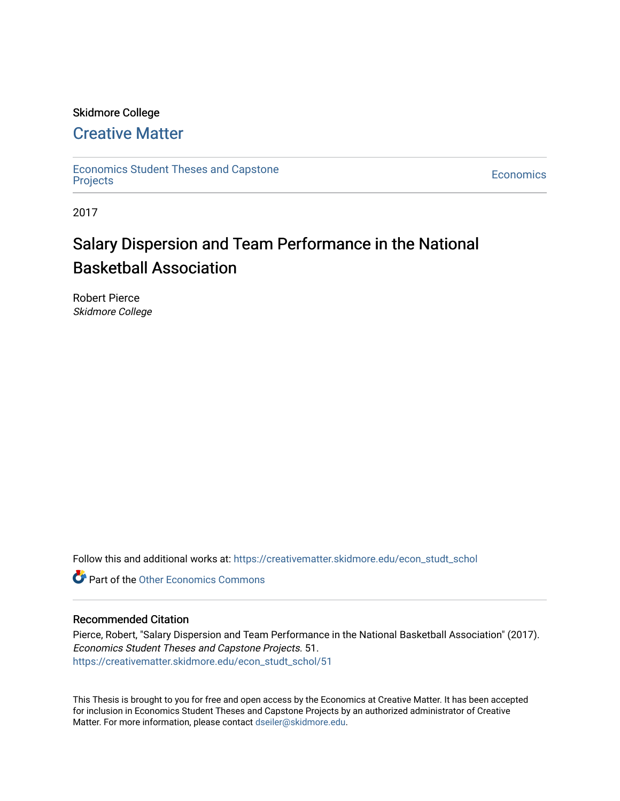#### Skidmore College

#### [Creative Matter](https://creativematter.skidmore.edu/)

[Economics Student Theses and Capstone](https://creativematter.skidmore.edu/econ_studt_schol)  [Projects](https://creativematter.skidmore.edu/econ_studt_schol) [Economics](https://creativematter.skidmore.edu/stu_schol_econ) 

2017

## Salary Dispersion and Team Performance in the National Basketball Association

Robert Pierce Skidmore College

Follow this and additional works at: [https://creativematter.skidmore.edu/econ\\_studt\\_schol](https://creativematter.skidmore.edu/econ_studt_schol?utm_source=creativematter.skidmore.edu%2Fecon_studt_schol%2F51&utm_medium=PDF&utm_campaign=PDFCoverPages) 

**Part of the Other Economics Commons** 

#### Recommended Citation

Pierce, Robert, "Salary Dispersion and Team Performance in the National Basketball Association" (2017). Economics Student Theses and Capstone Projects. 51. [https://creativematter.skidmore.edu/econ\\_studt\\_schol/51](https://creativematter.skidmore.edu/econ_studt_schol/51?utm_source=creativematter.skidmore.edu%2Fecon_studt_schol%2F51&utm_medium=PDF&utm_campaign=PDFCoverPages)

This Thesis is brought to you for free and open access by the Economics at Creative Matter. It has been accepted for inclusion in Economics Student Theses and Capstone Projects by an authorized administrator of Creative Matter. For more information, please contact [dseiler@skidmore.edu](mailto:dseiler@skidmore.edu).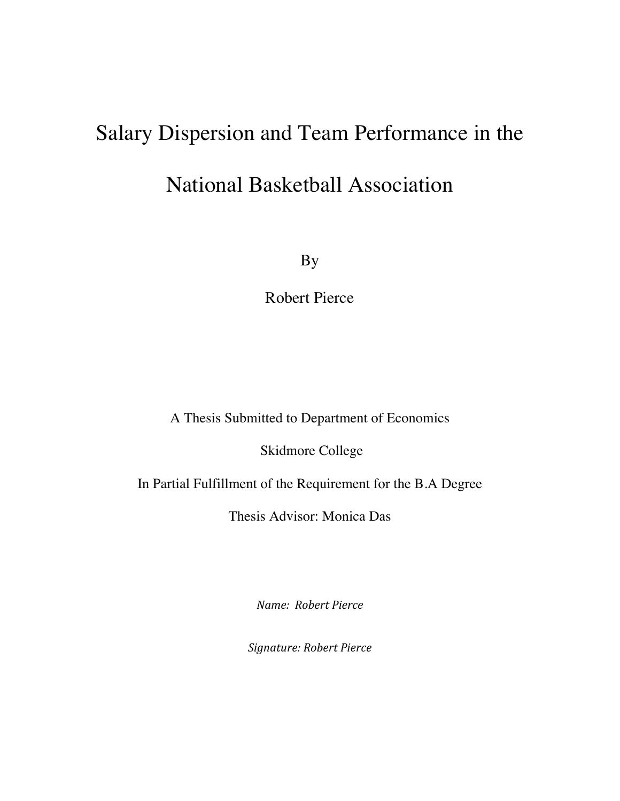# Salary Dispersion and Team Performance in the National Basketball Association

By

Robert Pierce

A Thesis Submitted to Department of Economics

Skidmore College

In Partial Fulfillment of the Requirement for the B.A Degree

Thesis Advisor: Monica Das

*Name: Robert Pierce* 

*Signature: Robert Pierce*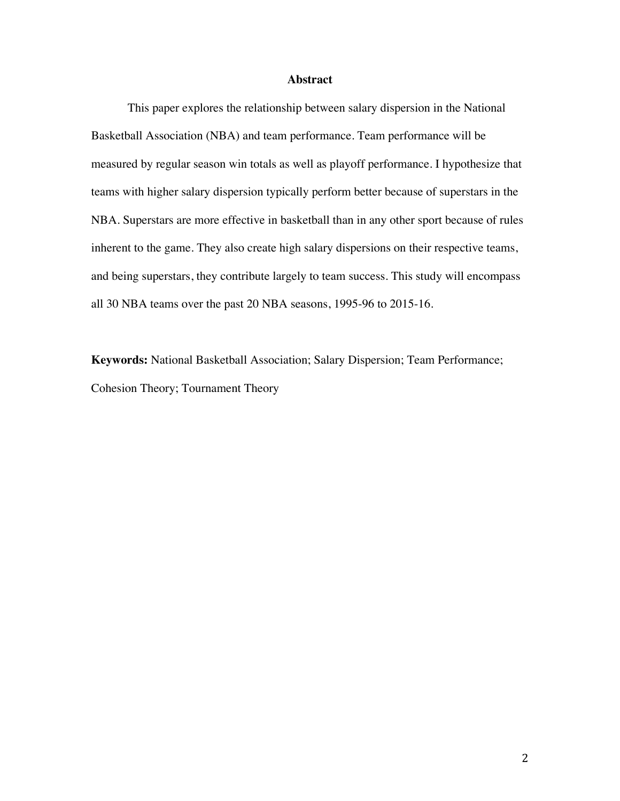#### **Abstract**

This paper explores the relationship between salary dispersion in the National Basketball Association (NBA) and team performance. Team performance will be measured by regular season win totals as well as playoff performance. I hypothesize that teams with higher salary dispersion typically perform better because of superstars in the NBA. Superstars are more effective in basketball than in any other sport because of rules inherent to the game. They also create high salary dispersions on their respective teams, and being superstars, they contribute largely to team success. This study will encompass all 30 NBA teams over the past 20 NBA seasons, 1995-96 to 2015-16.

**Keywords:** National Basketball Association; Salary Dispersion; Team Performance; Cohesion Theory; Tournament Theory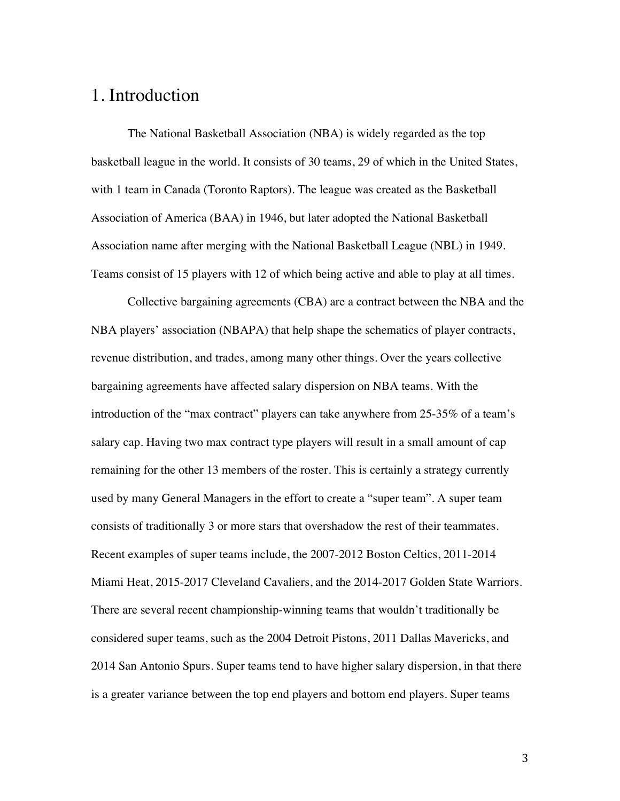#### 1. Introduction

The National Basketball Association (NBA) is widely regarded as the top basketball league in the world. It consists of 30 teams, 29 of which in the United States, with 1 team in Canada (Toronto Raptors). The league was created as the Basketball Association of America (BAA) in 1946, but later adopted the National Basketball Association name after merging with the National Basketball League (NBL) in 1949. Teams consist of 15 players with 12 of which being active and able to play at all times.

 Collective bargaining agreements (CBA) are a contract between the NBA and the NBA players' association (NBAPA) that help shape the schematics of player contracts, revenue distribution, and trades, among many other things. Over the years collective bargaining agreements have affected salary dispersion on NBA teams. With the introduction of the "max contract" players can take anywhere from 25-35% of a team's salary cap. Having two max contract type players will result in a small amount of cap remaining for the other 13 members of the roster. This is certainly a strategy currently used by many General Managers in the effort to create a "super team". A super team consists of traditionally 3 or more stars that overshadow the rest of their teammates. Recent examples of super teams include, the 2007-2012 Boston Celtics, 2011-2014 Miami Heat, 2015-2017 Cleveland Cavaliers, and the 2014-2017 Golden State Warriors. There are several recent championship-winning teams that wouldn't traditionally be considered super teams, such as the 2004 Detroit Pistons, 2011 Dallas Mavericks, and 2014 San Antonio Spurs. Super teams tend to have higher salary dispersion, in that there is a greater variance between the top end players and bottom end players. Super teams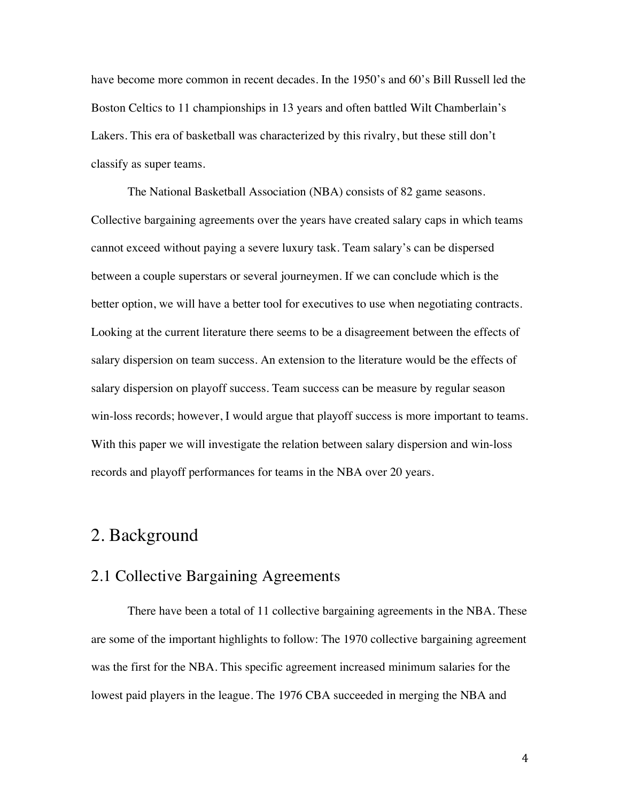have become more common in recent decades. In the 1950's and 60's Bill Russell led the Boston Celtics to 11 championships in 13 years and often battled Wilt Chamberlain's Lakers. This era of basketball was characterized by this rivalry, but these still don't classify as super teams.

 The National Basketball Association (NBA) consists of 82 game seasons. Collective bargaining agreements over the years have created salary caps in which teams cannot exceed without paying a severe luxury task. Team salary's can be dispersed between a couple superstars or several journeymen. If we can conclude which is the better option, we will have a better tool for executives to use when negotiating contracts. Looking at the current literature there seems to be a disagreement between the effects of salary dispersion on team success. An extension to the literature would be the effects of salary dispersion on playoff success. Team success can be measure by regular season win-loss records; however, I would argue that playoff success is more important to teams. With this paper we will investigate the relation between salary dispersion and win-loss records and playoff performances for teams in the NBA over 20 years.

#### 2. Background

#### 2.1 Collective Bargaining Agreements

There have been a total of 11 collective bargaining agreements in the NBA. These are some of the important highlights to follow: The 1970 collective bargaining agreement was the first for the NBA. This specific agreement increased minimum salaries for the lowest paid players in the league. The 1976 CBA succeeded in merging the NBA and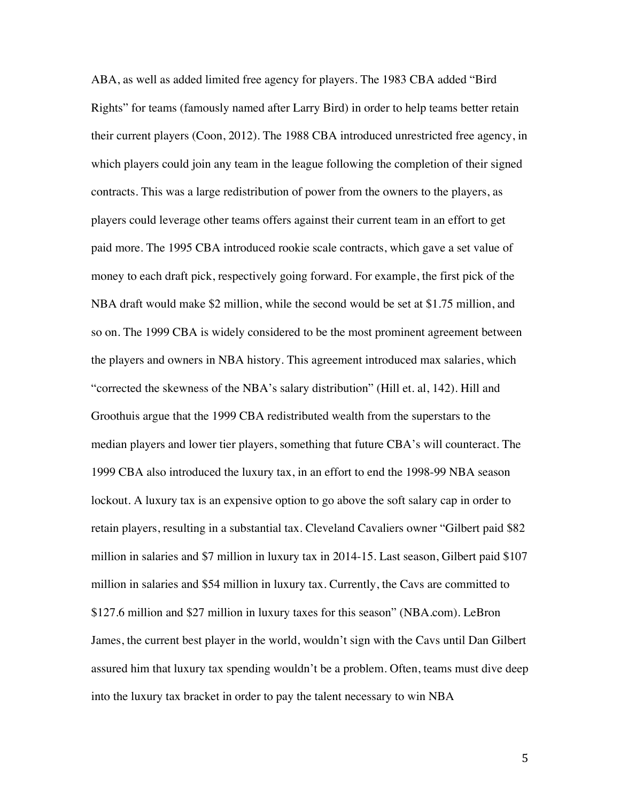ABA, as well as added limited free agency for players. The 1983 CBA added "Bird Rights" for teams (famously named after Larry Bird) in order to help teams better retain their current players (Coon, 2012). The 1988 CBA introduced unrestricted free agency, in which players could join any team in the league following the completion of their signed contracts. This was a large redistribution of power from the owners to the players, as players could leverage other teams offers against their current team in an effort to get paid more. The 1995 CBA introduced rookie scale contracts, which gave a set value of money to each draft pick, respectively going forward. For example, the first pick of the NBA draft would make \$2 million, while the second would be set at \$1.75 million, and so on. The 1999 CBA is widely considered to be the most prominent agreement between the players and owners in NBA history. This agreement introduced max salaries, which "corrected the skewness of the NBA's salary distribution" (Hill et. al, 142). Hill and Groothuis argue that the 1999 CBA redistributed wealth from the superstars to the median players and lower tier players, something that future CBA's will counteract. The 1999 CBA also introduced the luxury tax, in an effort to end the 1998-99 NBA season lockout. A luxury tax is an expensive option to go above the soft salary cap in order to retain players, resulting in a substantial tax. Cleveland Cavaliers owner "Gilbert paid \$82 million in salaries and \$7 million in luxury tax in 2014-15. Last season, Gilbert paid \$107 million in salaries and \$54 million in luxury tax. Currently, the Cavs are committed to \$127.6 million and \$27 million in luxury taxes for this season" (NBA.com). LeBron James, the current best player in the world, wouldn't sign with the Cavs until Dan Gilbert assured him that luxury tax spending wouldn't be a problem. Often, teams must dive deep into the luxury tax bracket in order to pay the talent necessary to win NBA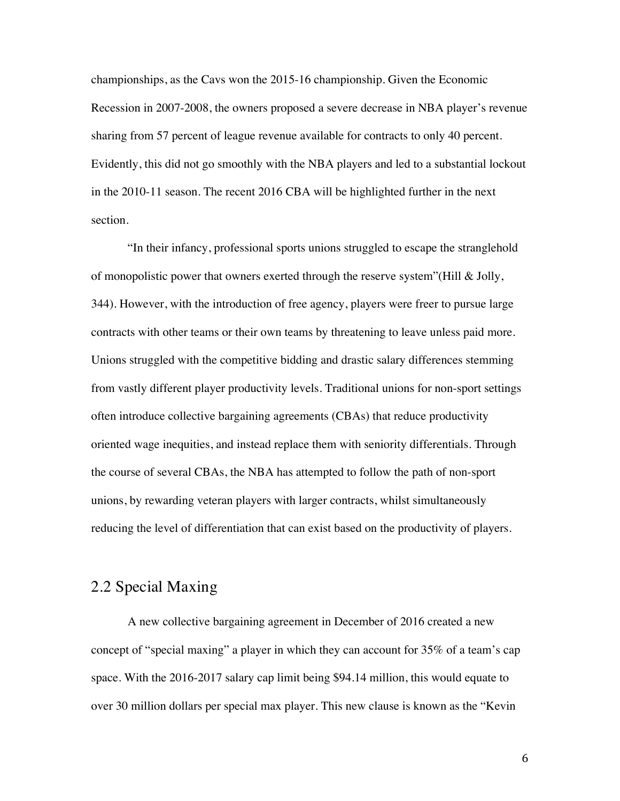championships, as the Cavs won the 2015-16 championship. Given the Economic Recession in 2007-2008, the owners proposed a severe decrease in NBA player's revenue sharing from 57 percent of league revenue available for contracts to only 40 percent. Evidently, this did not go smoothly with the NBA players and led to a substantial lockout in the 2010-11 season. The recent 2016 CBA will be highlighted further in the next section.

"In their infancy, professional sports unions struggled to escape the stranglehold of monopolistic power that owners exerted through the reserve system" (Hill  $\&$  Jolly, 344). However, with the introduction of free agency, players were freer to pursue large contracts with other teams or their own teams by threatening to leave unless paid more. Unions struggled with the competitive bidding and drastic salary differences stemming from vastly different player productivity levels. Traditional unions for non-sport settings often introduce collective bargaining agreements (CBAs) that reduce productivity oriented wage inequities, and instead replace them with seniority differentials. Through the course of several CBAs, the NBA has attempted to follow the path of non-sport unions, by rewarding veteran players with larger contracts, whilst simultaneously reducing the level of differentiation that can exist based on the productivity of players.

#### 2.2 Special Maxing

A new collective bargaining agreement in December of 2016 created a new concept of "special maxing" a player in which they can account for 35% of a team's cap space. With the 2016-2017 salary cap limit being \$94.14 million, this would equate to over 30 million dollars per special max player. This new clause is known as the "Kevin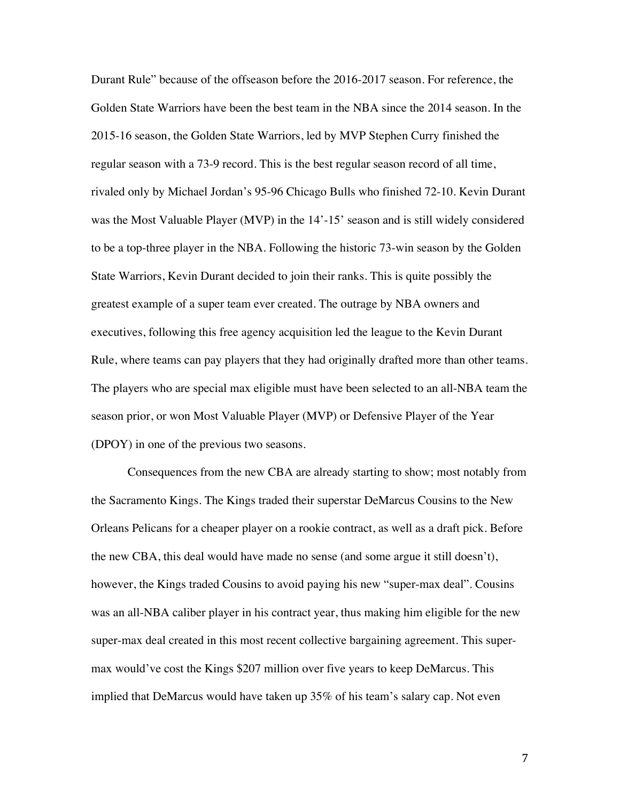Durant Rule" because of the offseason before the 2016-2017 season. For reference, the Golden State Warriors have been the best team in the NBA since the 2014 season. In the 2015-16 season, the Golden State Warriors, led by MVP Stephen Curry finished the regular season with a 73-9 record. This is the best regular season record of all time, rivaled only by Michael Jordan's 95-96 Chicago Bulls who finished 72-10. Kevin Durant was the Most Valuable Player (MVP) in the 14'-15' season and is still widely considered to be a top-three player in the NBA. Following the historic 73-win season by the Golden State Warriors, Kevin Durant decided to join their ranks. This is quite possibly the greatest example of a super team ever created. The outrage by NBA owners and executives, following this free agency acquisition led the league to the Kevin Durant Rule, where teams can pay players that they had originally drafted more than other teams. The players who are special max eligible must have been selected to an all-NBA team the season prior, or won Most Valuable Player (MVP) or Defensive Player of the Year (DPOY) in one of the previous two seasons.

 Consequences from the new CBA are already starting to show; most notably from the Sacramento Kings. The Kings traded their superstar DeMarcus Cousins to the New Orleans Pelicans for a cheaper player on a rookie contract, as well as a draft pick. Before the new CBA, this deal would have made no sense (and some argue it still doesn't), however, the Kings traded Cousins to avoid paying his new "super-max deal". Cousins was an all-NBA caliber player in his contract year, thus making him eligible for the new super-max deal created in this most recent collective bargaining agreement. This supermax would've cost the Kings \$207 million over five years to keep DeMarcus. This implied that DeMarcus would have taken up 35% of his team's salary cap. Not even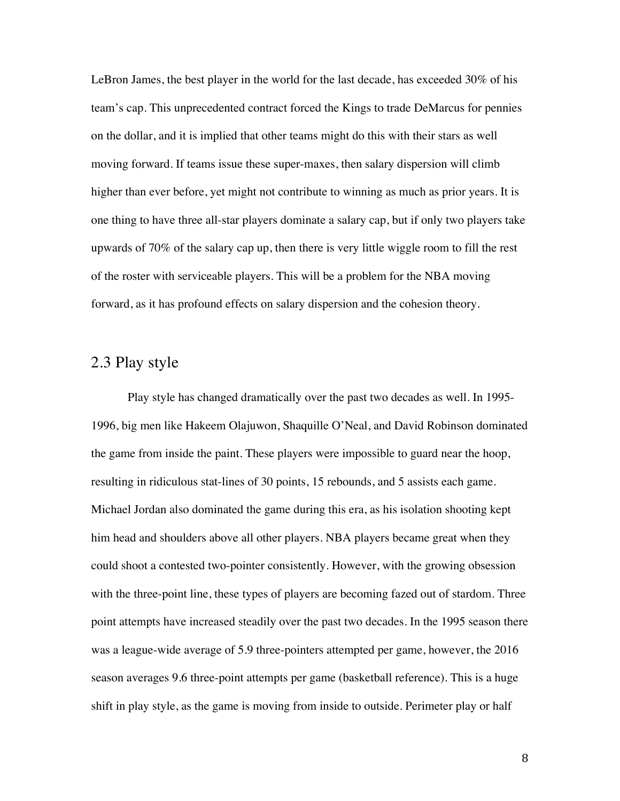LeBron James, the best player in the world for the last decade, has exceeded 30% of his team's cap. This unprecedented contract forced the Kings to trade DeMarcus for pennies on the dollar, and it is implied that other teams might do this with their stars as well moving forward. If teams issue these super-maxes, then salary dispersion will climb higher than ever before, yet might not contribute to winning as much as prior years. It is one thing to have three all-star players dominate a salary cap, but if only two players take upwards of 70% of the salary cap up, then there is very little wiggle room to fill the rest of the roster with serviceable players. This will be a problem for the NBA moving forward, as it has profound effects on salary dispersion and the cohesion theory.

#### 2.3 Play style

Play style has changed dramatically over the past two decades as well. In 1995- 1996, big men like Hakeem Olajuwon, Shaquille O'Neal, and David Robinson dominated the game from inside the paint. These players were impossible to guard near the hoop, resulting in ridiculous stat-lines of 30 points, 15 rebounds, and 5 assists each game. Michael Jordan also dominated the game during this era, as his isolation shooting kept him head and shoulders above all other players. NBA players became great when they could shoot a contested two-pointer consistently. However, with the growing obsession with the three-point line, these types of players are becoming fazed out of stardom. Three point attempts have increased steadily over the past two decades. In the 1995 season there was a league-wide average of 5.9 three-pointers attempted per game, however, the 2016 season averages 9.6 three-point attempts per game (basketball reference). This is a huge shift in play style, as the game is moving from inside to outside. Perimeter play or half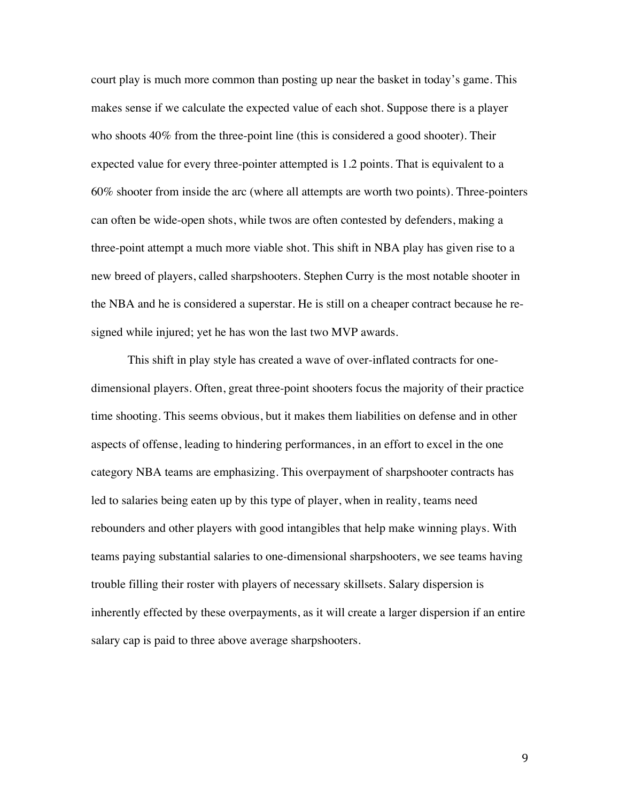court play is much more common than posting up near the basket in today's game. This makes sense if we calculate the expected value of each shot. Suppose there is a player who shoots 40% from the three-point line (this is considered a good shooter). Their expected value for every three-pointer attempted is 1.2 points. That is equivalent to a 60% shooter from inside the arc (where all attempts are worth two points). Three-pointers can often be wide-open shots, while twos are often contested by defenders, making a three-point attempt a much more viable shot. This shift in NBA play has given rise to a new breed of players, called sharpshooters. Stephen Curry is the most notable shooter in the NBA and he is considered a superstar. He is still on a cheaper contract because he resigned while injured; yet he has won the last two MVP awards.

 This shift in play style has created a wave of over-inflated contracts for onedimensional players. Often, great three-point shooters focus the majority of their practice time shooting. This seems obvious, but it makes them liabilities on defense and in other aspects of offense, leading to hindering performances, in an effort to excel in the one category NBA teams are emphasizing. This overpayment of sharpshooter contracts has led to salaries being eaten up by this type of player, when in reality, teams need rebounders and other players with good intangibles that help make winning plays. With teams paying substantial salaries to one-dimensional sharpshooters, we see teams having trouble filling their roster with players of necessary skillsets. Salary dispersion is inherently effected by these overpayments, as it will create a larger dispersion if an entire salary cap is paid to three above average sharpshooters.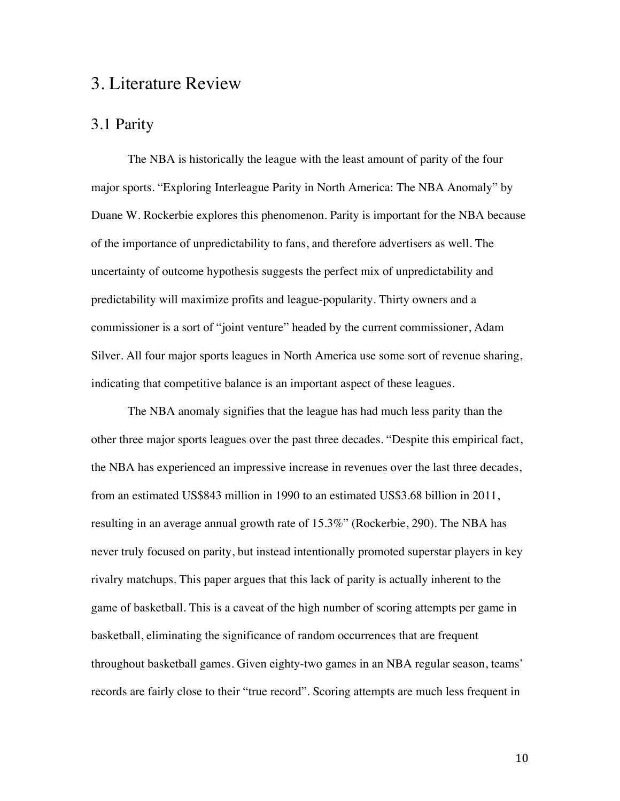### 3. Literature Review

#### 3.1 Parity

The NBA is historically the league with the least amount of parity of the four major sports. "Exploring Interleague Parity in North America: The NBA Anomaly" by Duane W. Rockerbie explores this phenomenon. Parity is important for the NBA because of the importance of unpredictability to fans, and therefore advertisers as well. The uncertainty of outcome hypothesis suggests the perfect mix of unpredictability and predictability will maximize profits and league-popularity. Thirty owners and a commissioner is a sort of "joint venture" headed by the current commissioner, Adam Silver. All four major sports leagues in North America use some sort of revenue sharing, indicating that competitive balance is an important aspect of these leagues.

The NBA anomaly signifies that the league has had much less parity than the other three major sports leagues over the past three decades. "Despite this empirical fact, the NBA has experienced an impressive increase in revenues over the last three decades, from an estimated US\$843 million in 1990 to an estimated US\$3.68 billion in 2011, resulting in an average annual growth rate of 15.3%" (Rockerbie, 290). The NBA has never truly focused on parity, but instead intentionally promoted superstar players in key rivalry matchups. This paper argues that this lack of parity is actually inherent to the game of basketball. This is a caveat of the high number of scoring attempts per game in basketball, eliminating the significance of random occurrences that are frequent throughout basketball games. Given eighty-two games in an NBA regular season, teams' records are fairly close to their "true record". Scoring attempts are much less frequent in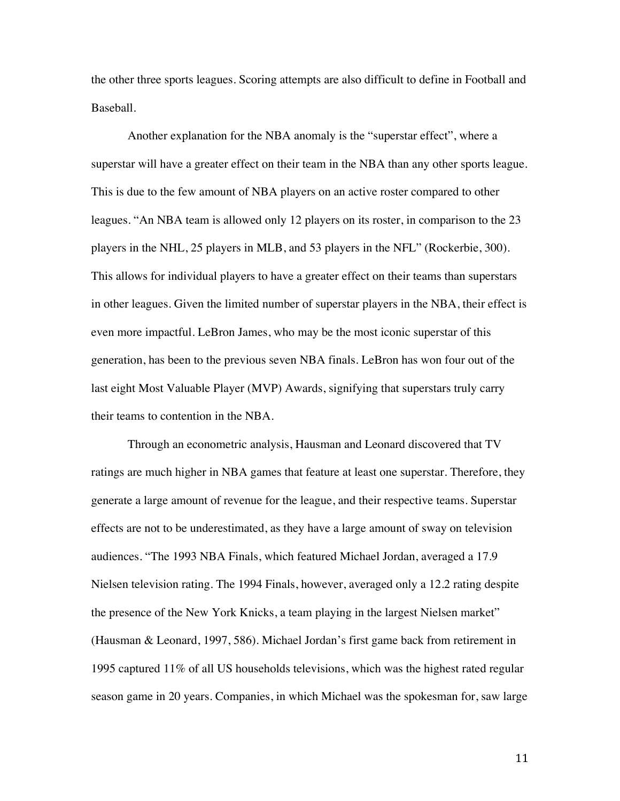the other three sports leagues. Scoring attempts are also difficult to define in Football and Baseball.

 Another explanation for the NBA anomaly is the "superstar effect", where a superstar will have a greater effect on their team in the NBA than any other sports league. This is due to the few amount of NBA players on an active roster compared to other leagues. "An NBA team is allowed only 12 players on its roster, in comparison to the 23 players in the NHL, 25 players in MLB, and 53 players in the NFL" (Rockerbie, 300). This allows for individual players to have a greater effect on their teams than superstars in other leagues. Given the limited number of superstar players in the NBA, their effect is even more impactful. LeBron James, who may be the most iconic superstar of this generation, has been to the previous seven NBA finals. LeBron has won four out of the last eight Most Valuable Player (MVP) Awards, signifying that superstars truly carry their teams to contention in the NBA.

Through an econometric analysis, Hausman and Leonard discovered that TV ratings are much higher in NBA games that feature at least one superstar. Therefore, they generate a large amount of revenue for the league, and their respective teams. Superstar effects are not to be underestimated, as they have a large amount of sway on television audiences. "The 1993 NBA Finals, which featured Michael Jordan, averaged a 17.9 Nielsen television rating. The 1994 Finals, however, averaged only a 12.2 rating despite the presence of the New York Knicks, a team playing in the largest Nielsen market" (Hausman & Leonard, 1997, 586). Michael Jordan's first game back from retirement in 1995 captured 11% of all US households televisions, which was the highest rated regular season game in 20 years. Companies, in which Michael was the spokesman for, saw large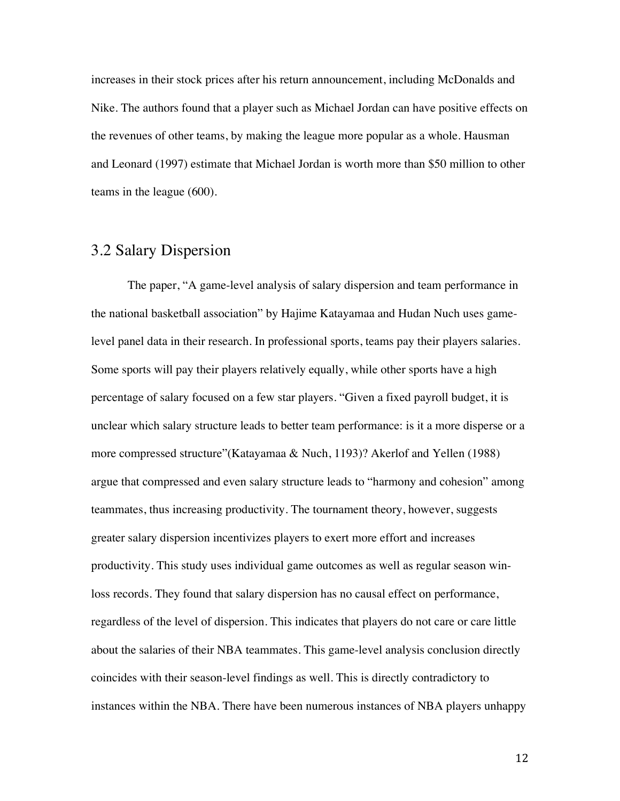increases in their stock prices after his return announcement, including McDonalds and Nike. The authors found that a player such as Michael Jordan can have positive effects on the revenues of other teams, by making the league more popular as a whole. Hausman and Leonard (1997) estimate that Michael Jordan is worth more than \$50 million to other teams in the league (600).

#### 3.2 Salary Dispersion

The paper, "A game-level analysis of salary dispersion and team performance in the national basketball association" by Hajime Katayamaa and Hudan Nuch uses gamelevel panel data in their research. In professional sports, teams pay their players salaries. Some sports will pay their players relatively equally, while other sports have a high percentage of salary focused on a few star players. "Given a fixed payroll budget, it is unclear which salary structure leads to better team performance: is it a more disperse or a more compressed structure"(Katayamaa & Nuch, 1193)? Akerlof and Yellen (1988) argue that compressed and even salary structure leads to "harmony and cohesion" among teammates, thus increasing productivity. The tournament theory, however, suggests greater salary dispersion incentivizes players to exert more effort and increases productivity. This study uses individual game outcomes as well as regular season winloss records. They found that salary dispersion has no causal effect on performance, regardless of the level of dispersion. This indicates that players do not care or care little about the salaries of their NBA teammates. This game-level analysis conclusion directly coincides with their season-level findings as well. This is directly contradictory to instances within the NBA. There have been numerous instances of NBA players unhappy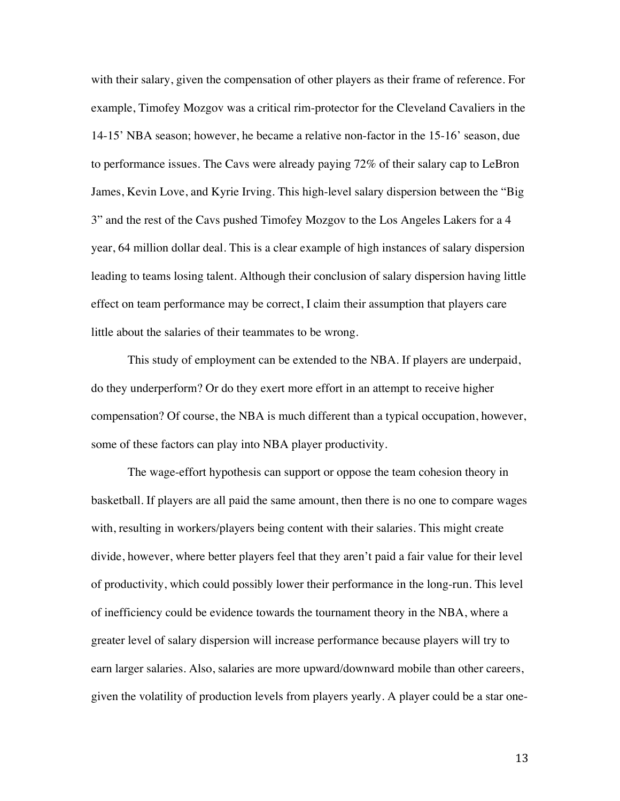with their salary, given the compensation of other players as their frame of reference. For example, Timofey Mozgov was a critical rim-protector for the Cleveland Cavaliers in the 14-15' NBA season; however, he became a relative non-factor in the 15-16' season, due to performance issues. The Cavs were already paying 72% of their salary cap to LeBron James, Kevin Love, and Kyrie Irving. This high-level salary dispersion between the "Big 3" and the rest of the Cavs pushed Timofey Mozgov to the Los Angeles Lakers for a 4 year, 64 million dollar deal. This is a clear example of high instances of salary dispersion leading to teams losing talent. Although their conclusion of salary dispersion having little effect on team performance may be correct, I claim their assumption that players care little about the salaries of their teammates to be wrong.

 This study of employment can be extended to the NBA. If players are underpaid, do they underperform? Or do they exert more effort in an attempt to receive higher compensation? Of course, the NBA is much different than a typical occupation, however, some of these factors can play into NBA player productivity.

 The wage-effort hypothesis can support or oppose the team cohesion theory in basketball. If players are all paid the same amount, then there is no one to compare wages with, resulting in workers/players being content with their salaries. This might create divide, however, where better players feel that they aren't paid a fair value for their level of productivity, which could possibly lower their performance in the long-run. This level of inefficiency could be evidence towards the tournament theory in the NBA, where a greater level of salary dispersion will increase performance because players will try to earn larger salaries. Also, salaries are more upward/downward mobile than other careers, given the volatility of production levels from players yearly. A player could be a star one-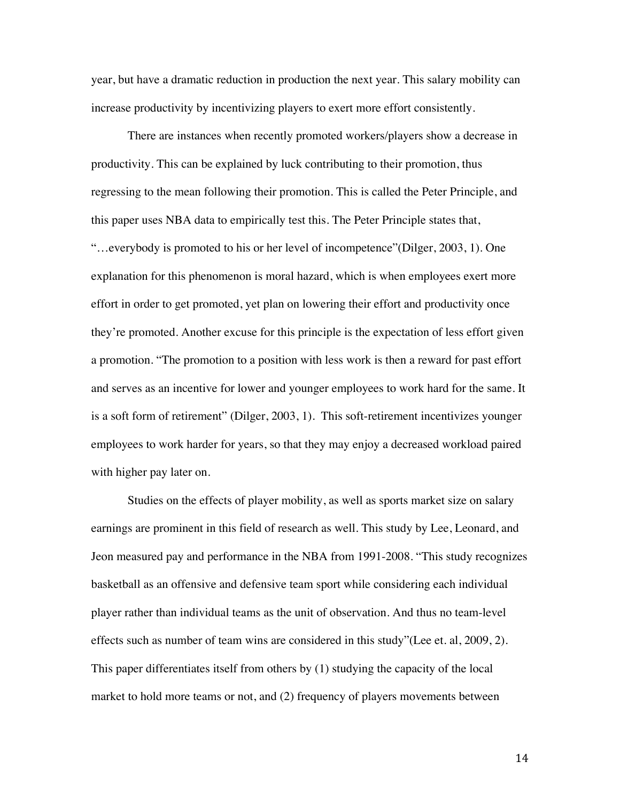year, but have a dramatic reduction in production the next year. This salary mobility can increase productivity by incentivizing players to exert more effort consistently.

There are instances when recently promoted workers/players show a decrease in productivity. This can be explained by luck contributing to their promotion, thus regressing to the mean following their promotion. This is called the Peter Principle, and this paper uses NBA data to empirically test this. The Peter Principle states that, "…everybody is promoted to his or her level of incompetence"(Dilger, 2003, 1). One explanation for this phenomenon is moral hazard, which is when employees exert more effort in order to get promoted, yet plan on lowering their effort and productivity once they're promoted. Another excuse for this principle is the expectation of less effort given a promotion. "The promotion to a position with less work is then a reward for past effort and serves as an incentive for lower and younger employees to work hard for the same. It is a soft form of retirement" (Dilger, 2003, 1). This soft-retirement incentivizes younger employees to work harder for years, so that they may enjoy a decreased workload paired with higher pay later on.

Studies on the effects of player mobility, as well as sports market size on salary earnings are prominent in this field of research as well. This study by Lee, Leonard, and Jeon measured pay and performance in the NBA from 1991-2008. "This study recognizes basketball as an offensive and defensive team sport while considering each individual player rather than individual teams as the unit of observation. And thus no team-level effects such as number of team wins are considered in this study"(Lee et. al, 2009, 2). This paper differentiates itself from others by (1) studying the capacity of the local market to hold more teams or not, and (2) frequency of players movements between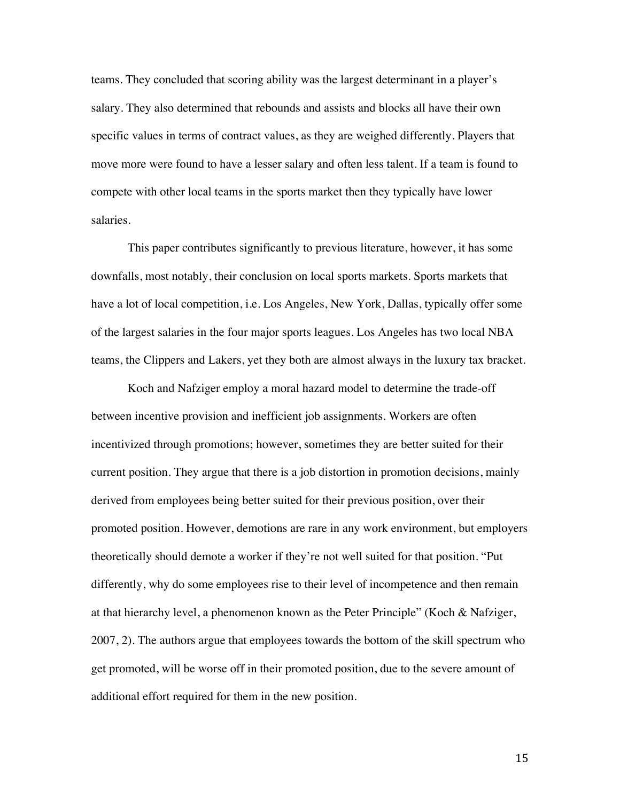teams. They concluded that scoring ability was the largest determinant in a player's salary. They also determined that rebounds and assists and blocks all have their own specific values in terms of contract values, as they are weighed differently. Players that move more were found to have a lesser salary and often less talent. If a team is found to compete with other local teams in the sports market then they typically have lower salaries.

This paper contributes significantly to previous literature, however, it has some downfalls, most notably, their conclusion on local sports markets. Sports markets that have a lot of local competition, i.e. Los Angeles, New York, Dallas, typically offer some of the largest salaries in the four major sports leagues. Los Angeles has two local NBA teams, the Clippers and Lakers, yet they both are almost always in the luxury tax bracket.

Koch and Nafziger employ a moral hazard model to determine the trade-off between incentive provision and inefficient job assignments. Workers are often incentivized through promotions; however, sometimes they are better suited for their current position. They argue that there is a job distortion in promotion decisions, mainly derived from employees being better suited for their previous position, over their promoted position. However, demotions are rare in any work environment, but employers theoretically should demote a worker if they're not well suited for that position. "Put differently, why do some employees rise to their level of incompetence and then remain at that hierarchy level, a phenomenon known as the Peter Principle" (Koch & Nafziger, 2007, 2). The authors argue that employees towards the bottom of the skill spectrum who get promoted, will be worse off in their promoted position, due to the severe amount of additional effort required for them in the new position.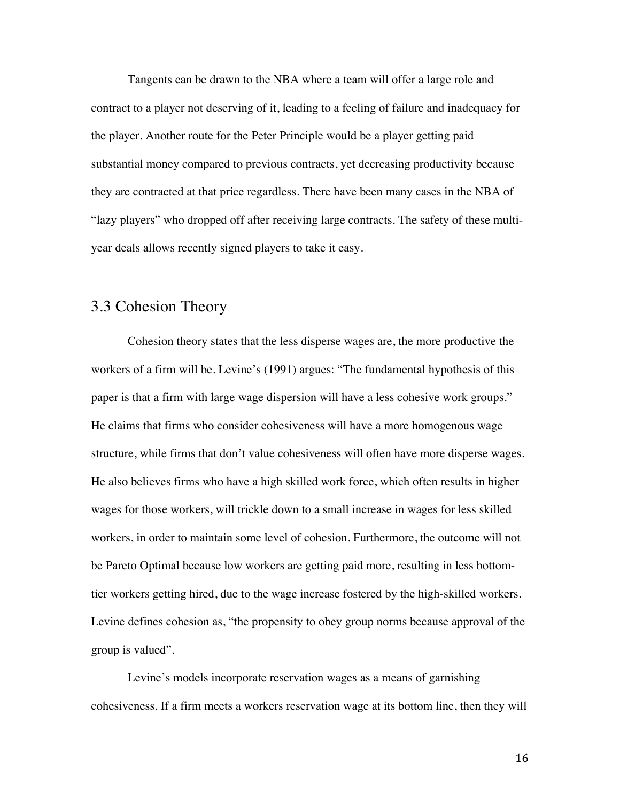Tangents can be drawn to the NBA where a team will offer a large role and contract to a player not deserving of it, leading to a feeling of failure and inadequacy for the player. Another route for the Peter Principle would be a player getting paid substantial money compared to previous contracts, yet decreasing productivity because they are contracted at that price regardless. There have been many cases in the NBA of "lazy players" who dropped off after receiving large contracts. The safety of these multiyear deals allows recently signed players to take it easy.

#### 3.3 Cohesion Theory

Cohesion theory states that the less disperse wages are, the more productive the workers of a firm will be. Levine's (1991) argues: "The fundamental hypothesis of this paper is that a firm with large wage dispersion will have a less cohesive work groups." He claims that firms who consider cohesiveness will have a more homogenous wage structure, while firms that don't value cohesiveness will often have more disperse wages. He also believes firms who have a high skilled work force, which often results in higher wages for those workers, will trickle down to a small increase in wages for less skilled workers, in order to maintain some level of cohesion. Furthermore, the outcome will not be Pareto Optimal because low workers are getting paid more, resulting in less bottomtier workers getting hired, due to the wage increase fostered by the high-skilled workers. Levine defines cohesion as, "the propensity to obey group norms because approval of the group is valued".

Levine's models incorporate reservation wages as a means of garnishing cohesiveness. If a firm meets a workers reservation wage at its bottom line, then they will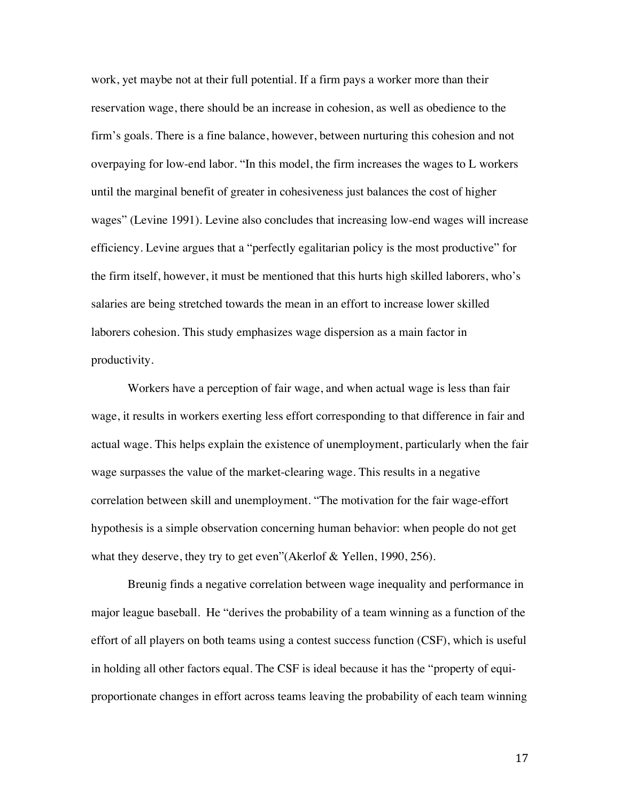work, yet maybe not at their full potential. If a firm pays a worker more than their reservation wage, there should be an increase in cohesion, as well as obedience to the firm's goals. There is a fine balance, however, between nurturing this cohesion and not overpaying for low-end labor. "In this model, the firm increases the wages to L workers until the marginal benefit of greater in cohesiveness just balances the cost of higher wages" (Levine 1991). Levine also concludes that increasing low-end wages will increase efficiency. Levine argues that a "perfectly egalitarian policy is the most productive" for the firm itself, however, it must be mentioned that this hurts high skilled laborers, who's salaries are being stretched towards the mean in an effort to increase lower skilled laborers cohesion. This study emphasizes wage dispersion as a main factor in productivity.

Workers have a perception of fair wage, and when actual wage is less than fair wage, it results in workers exerting less effort corresponding to that difference in fair and actual wage. This helps explain the existence of unemployment, particularly when the fair wage surpasses the value of the market-clearing wage. This results in a negative correlation between skill and unemployment. "The motivation for the fair wage-effort hypothesis is a simple observation concerning human behavior: when people do not get what they deserve, they try to get even"(Akerlof & Yellen, 1990, 256).

Breunig finds a negative correlation between wage inequality and performance in major league baseball. He "derives the probability of a team winning as a function of the effort of all players on both teams using a contest success function (CSF), which is useful in holding all other factors equal. The CSF is ideal because it has the "property of equiproportionate changes in effort across teams leaving the probability of each team winning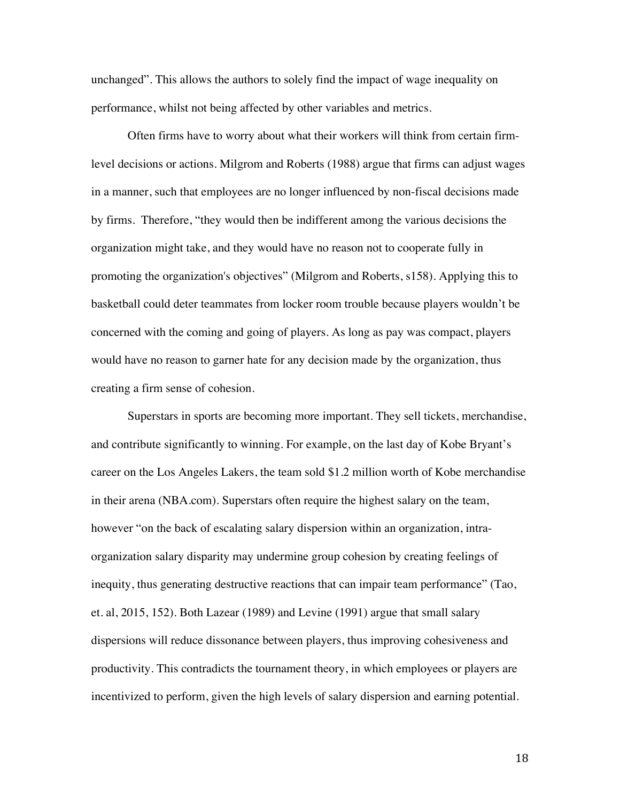unchanged". This allows the authors to solely find the impact of wage inequality on performance, whilst not being affected by other variables and metrics.

Often firms have to worry about what their workers will think from certain firmlevel decisions or actions. Milgrom and Roberts (1988) argue that firms can adjust wages in a manner, such that employees are no longer influenced by non-fiscal decisions made by firms. Therefore, "they would then be indifferent among the various decisions the organization might take, and they would have no reason not to cooperate fully in promoting the organization's objectives" (Milgrom and Roberts, s158). Applying this to basketball could deter teammates from locker room trouble because players wouldn't be concerned with the coming and going of players. As long as pay was compact, players would have no reason to garner hate for any decision made by the organization, thus creating a firm sense of cohesion.

Superstars in sports are becoming more important. They sell tickets, merchandise, and contribute significantly to winning. For example, on the last day of Kobe Bryant's career on the Los Angeles Lakers, the team sold \$1.2 million worth of Kobe merchandise in their arena (NBA.com). Superstars often require the highest salary on the team, however "on the back of escalating salary dispersion within an organization, intraorganization salary disparity may undermine group cohesion by creating feelings of inequity, thus generating destructive reactions that can impair team performance" (Tao, et. al, 2015, 152). Both Lazear (1989) and Levine (1991) argue that small salary dispersions will reduce dissonance between players, thus improving cohesiveness and productivity. This contradicts the tournament theory, in which employees or players are incentivized to perform, given the high levels of salary dispersion and earning potential.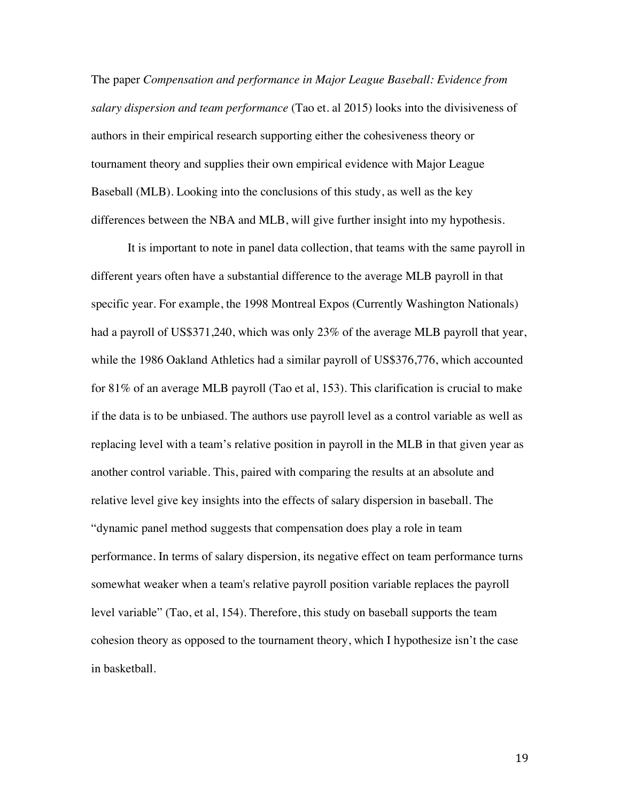The paper *Compensation and performance in Major League Baseball: Evidence from salary dispersion and team performance* (Tao et. al 2015) looks into the divisiveness of authors in their empirical research supporting either the cohesiveness theory or tournament theory and supplies their own empirical evidence with Major League Baseball (MLB). Looking into the conclusions of this study, as well as the key differences between the NBA and MLB, will give further insight into my hypothesis.

 It is important to note in panel data collection, that teams with the same payroll in different years often have a substantial difference to the average MLB payroll in that specific year. For example, the 1998 Montreal Expos (Currently Washington Nationals) had a payroll of US\$371,240, which was only 23% of the average MLB payroll that year, while the 1986 Oakland Athletics had a similar payroll of US\$376,776, which accounted for 81% of an average MLB payroll (Tao et al, 153). This clarification is crucial to make if the data is to be unbiased. The authors use payroll level as a control variable as well as replacing level with a team's relative position in payroll in the MLB in that given year as another control variable. This, paired with comparing the results at an absolute and relative level give key insights into the effects of salary dispersion in baseball. The "dynamic panel method suggests that compensation does play a role in team performance. In terms of salary dispersion, its negative effect on team performance turns somewhat weaker when a team's relative payroll position variable replaces the payroll level variable" (Tao, et al, 154). Therefore, this study on baseball supports the team cohesion theory as opposed to the tournament theory, which I hypothesize isn't the case in basketball.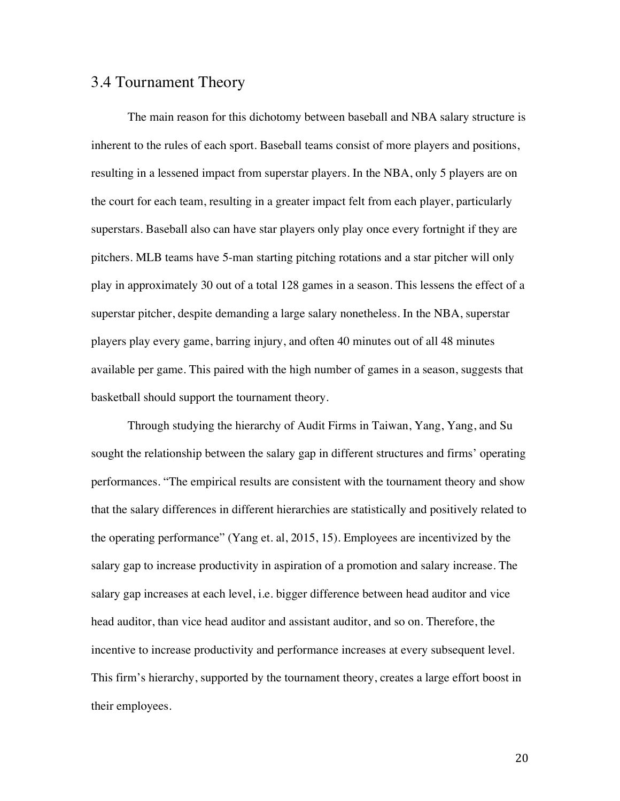#### 3.4 Tournament Theory

The main reason for this dichotomy between baseball and NBA salary structure is inherent to the rules of each sport. Baseball teams consist of more players and positions, resulting in a lessened impact from superstar players. In the NBA, only 5 players are on the court for each team, resulting in a greater impact felt from each player, particularly superstars. Baseball also can have star players only play once every fortnight if they are pitchers. MLB teams have 5-man starting pitching rotations and a star pitcher will only play in approximately 30 out of a total 128 games in a season. This lessens the effect of a superstar pitcher, despite demanding a large salary nonetheless. In the NBA, superstar players play every game, barring injury, and often 40 minutes out of all 48 minutes available per game. This paired with the high number of games in a season, suggests that basketball should support the tournament theory.

Through studying the hierarchy of Audit Firms in Taiwan, Yang, Yang, and Su sought the relationship between the salary gap in different structures and firms' operating performances. "The empirical results are consistent with the tournament theory and show that the salary differences in different hierarchies are statistically and positively related to the operating performance" (Yang et. al, 2015, 15). Employees are incentivized by the salary gap to increase productivity in aspiration of a promotion and salary increase. The salary gap increases at each level, i.e. bigger difference between head auditor and vice head auditor, than vice head auditor and assistant auditor, and so on. Therefore, the incentive to increase productivity and performance increases at every subsequent level. This firm's hierarchy, supported by the tournament theory, creates a large effort boost in their employees.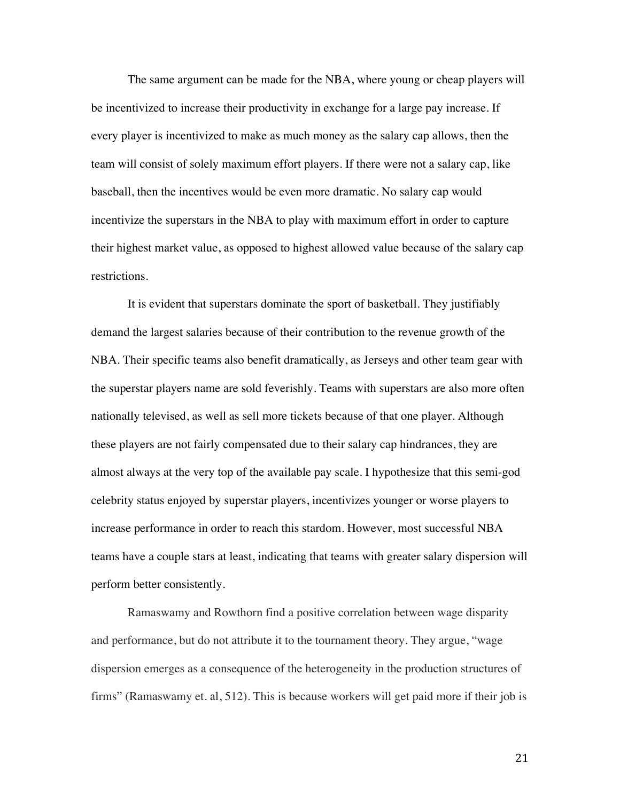The same argument can be made for the NBA, where young or cheap players will be incentivized to increase their productivity in exchange for a large pay increase. If every player is incentivized to make as much money as the salary cap allows, then the team will consist of solely maximum effort players. If there were not a salary cap, like baseball, then the incentives would be even more dramatic. No salary cap would incentivize the superstars in the NBA to play with maximum effort in order to capture their highest market value, as opposed to highest allowed value because of the salary cap restrictions.

 It is evident that superstars dominate the sport of basketball. They justifiably demand the largest salaries because of their contribution to the revenue growth of the NBA. Their specific teams also benefit dramatically, as Jerseys and other team gear with the superstar players name are sold feverishly. Teams with superstars are also more often nationally televised, as well as sell more tickets because of that one player. Although these players are not fairly compensated due to their salary cap hindrances, they are almost always at the very top of the available pay scale. I hypothesize that this semi-god celebrity status enjoyed by superstar players, incentivizes younger or worse players to increase performance in order to reach this stardom. However, most successful NBA teams have a couple stars at least, indicating that teams with greater salary dispersion will perform better consistently.

Ramaswamy and Rowthorn find a positive correlation between wage disparity and performance, but do not attribute it to the tournament theory. They argue, "wage dispersion emerges as a consequence of the heterogeneity in the production structures of firms" (Ramaswamy et. al, 512). This is because workers will get paid more if their job is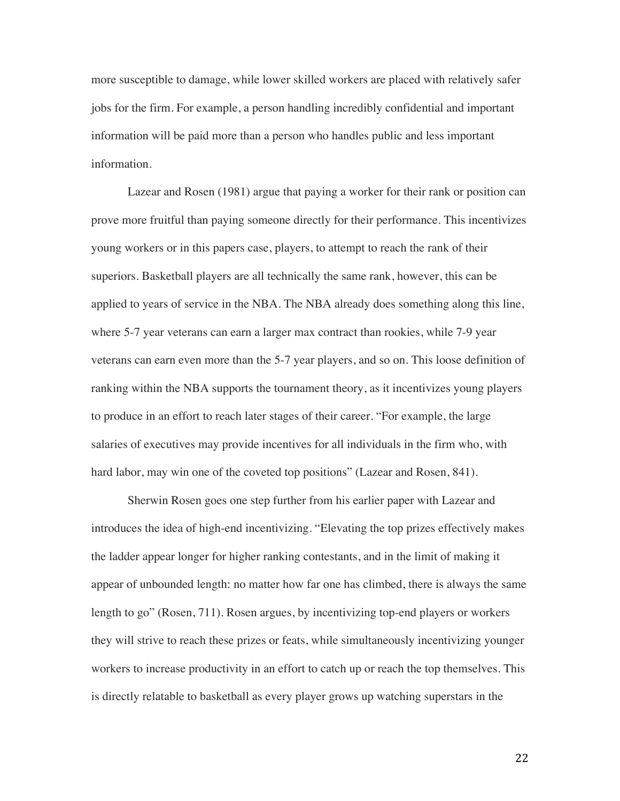more susceptible to damage, while lower skilled workers are placed with relatively safer jobs for the firm. For example, a person handling incredibly confidential and important information will be paid more than a person who handles public and less important information.

 Lazear and Rosen (1981) argue that paying a worker for their rank or position can prove more fruitful than paying someone directly for their performance. This incentivizes young workers or in this papers case, players, to attempt to reach the rank of their superiors. Basketball players are all technically the same rank, however, this can be applied to years of service in the NBA. The NBA already does something along this line, where 5-7 year veterans can earn a larger max contract than rookies, while 7-9 year veterans can earn even more than the 5-7 year players, and so on. This loose definition of ranking within the NBA supports the tournament theory, as it incentivizes young players to produce in an effort to reach later stages of their career. "For example, the large salaries of executives may provide incentives for all individuals in the firm who, with hard labor, may win one of the coveted top positions" (Lazear and Rosen, 841).

 Sherwin Rosen goes one step further from his earlier paper with Lazear and introduces the idea of high-end incentivizing. "Elevating the top prizes effectively makes the ladder appear longer for higher ranking contestants, and in the limit of making it appear of unbounded length: no matter how far one has climbed, there is always the same length to go" (Rosen, 711). Rosen argues, by incentivizing top-end players or workers they will strive to reach these prizes or feats, while simultaneously incentivizing younger workers to increase productivity in an effort to catch up or reach the top themselves. This is directly relatable to basketball as every player grows up watching superstars in the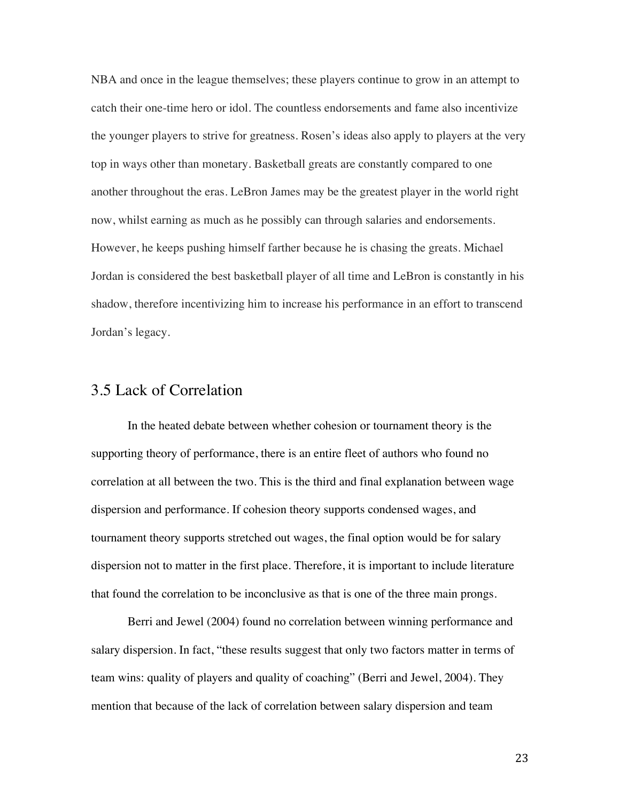NBA and once in the league themselves; these players continue to grow in an attempt to catch their one-time hero or idol. The countless endorsements and fame also incentivize the younger players to strive for greatness. Rosen's ideas also apply to players at the very top in ways other than monetary. Basketball greats are constantly compared to one another throughout the eras. LeBron James may be the greatest player in the world right now, whilst earning as much as he possibly can through salaries and endorsements. However, he keeps pushing himself farther because he is chasing the greats. Michael Jordan is considered the best basketball player of all time and LeBron is constantly in his shadow, therefore incentivizing him to increase his performance in an effort to transcend Jordan's legacy.

#### 3.5 Lack of Correlation

 In the heated debate between whether cohesion or tournament theory is the supporting theory of performance, there is an entire fleet of authors who found no correlation at all between the two. This is the third and final explanation between wage dispersion and performance. If cohesion theory supports condensed wages, and tournament theory supports stretched out wages, the final option would be for salary dispersion not to matter in the first place. Therefore, it is important to include literature that found the correlation to be inconclusive as that is one of the three main prongs.

 Berri and Jewel (2004) found no correlation between winning performance and salary dispersion. In fact, "these results suggest that only two factors matter in terms of team wins: quality of players and quality of coaching" (Berri and Jewel, 2004). They mention that because of the lack of correlation between salary dispersion and team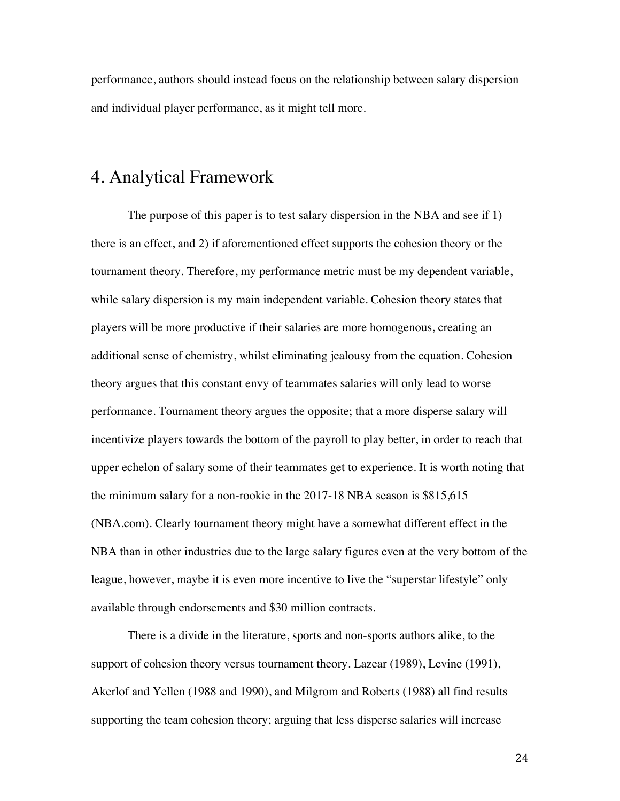performance, authors should instead focus on the relationship between salary dispersion and individual player performance, as it might tell more.

#### 4. Analytical Framework

The purpose of this paper is to test salary dispersion in the NBA and see if 1) there is an effect, and 2) if aforementioned effect supports the cohesion theory or the tournament theory. Therefore, my performance metric must be my dependent variable, while salary dispersion is my main independent variable. Cohesion theory states that players will be more productive if their salaries are more homogenous, creating an additional sense of chemistry, whilst eliminating jealousy from the equation. Cohesion theory argues that this constant envy of teammates salaries will only lead to worse performance. Tournament theory argues the opposite; that a more disperse salary will incentivize players towards the bottom of the payroll to play better, in order to reach that upper echelon of salary some of their teammates get to experience. It is worth noting that the minimum salary for a non-rookie in the 2017-18 NBA season is \$815,615 (NBA.com). Clearly tournament theory might have a somewhat different effect in the NBA than in other industries due to the large salary figures even at the very bottom of the league, however, maybe it is even more incentive to live the "superstar lifestyle" only available through endorsements and \$30 million contracts.

There is a divide in the literature, sports and non-sports authors alike, to the support of cohesion theory versus tournament theory. Lazear (1989), Levine (1991), Akerlof and Yellen (1988 and 1990), and Milgrom and Roberts (1988) all find results supporting the team cohesion theory; arguing that less disperse salaries will increase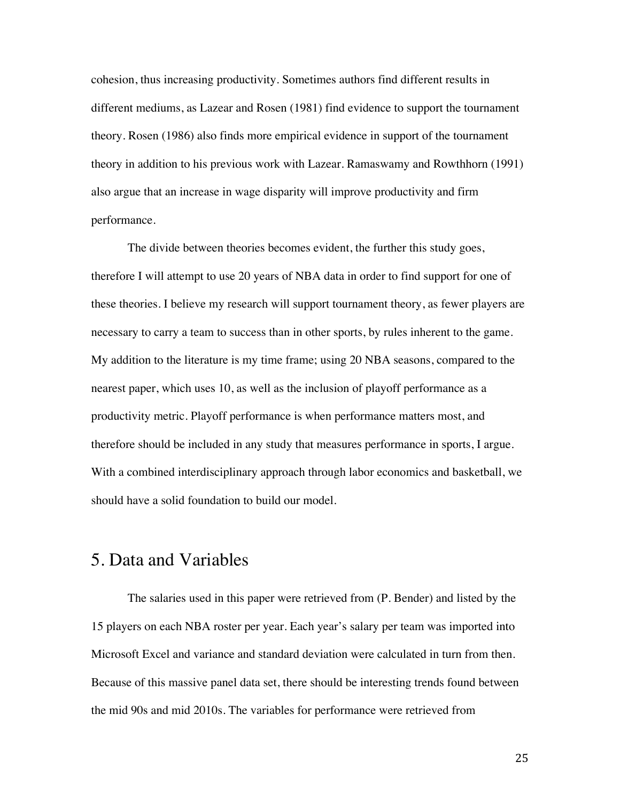cohesion, thus increasing productivity. Sometimes authors find different results in different mediums, as Lazear and Rosen (1981) find evidence to support the tournament theory. Rosen (1986) also finds more empirical evidence in support of the tournament theory in addition to his previous work with Lazear. Ramaswamy and Rowthhorn (1991) also argue that an increase in wage disparity will improve productivity and firm performance.

 The divide between theories becomes evident, the further this study goes, therefore I will attempt to use 20 years of NBA data in order to find support for one of these theories. I believe my research will support tournament theory, as fewer players are necessary to carry a team to success than in other sports, by rules inherent to the game. My addition to the literature is my time frame; using 20 NBA seasons, compared to the nearest paper, which uses 10, as well as the inclusion of playoff performance as a productivity metric. Playoff performance is when performance matters most, and therefore should be included in any study that measures performance in sports, I argue. With a combined interdisciplinary approach through labor economics and basketball, we should have a solid foundation to build our model.

#### 5. Data and Variables

The salaries used in this paper were retrieved from (P. Bender) and listed by the 15 players on each NBA roster per year. Each year's salary per team was imported into Microsoft Excel and variance and standard deviation were calculated in turn from then. Because of this massive panel data set, there should be interesting trends found between the mid 90s and mid 2010s. The variables for performance were retrieved from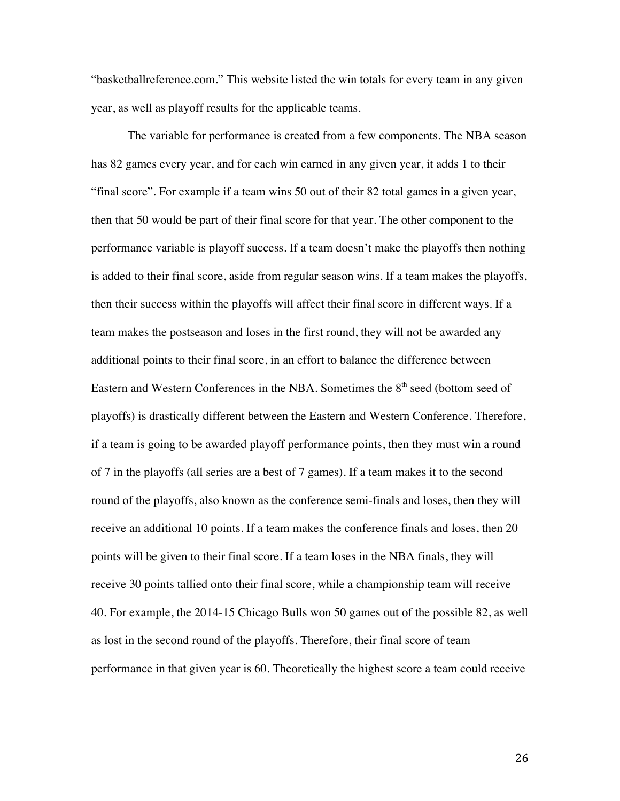"basketballreference.com." This website listed the win totals for every team in any given year, as well as playoff results for the applicable teams.

The variable for performance is created from a few components. The NBA season has 82 games every year, and for each win earned in any given year, it adds 1 to their "final score". For example if a team wins 50 out of their 82 total games in a given year, then that 50 would be part of their final score for that year. The other component to the performance variable is playoff success. If a team doesn't make the playoffs then nothing is added to their final score, aside from regular season wins. If a team makes the playoffs, then their success within the playoffs will affect their final score in different ways. If a team makes the postseason and loses in the first round, they will not be awarded any additional points to their final score, in an effort to balance the difference between Eastern and Western Conferences in the NBA. Sometimes the 8<sup>th</sup> seed (bottom seed of playoffs) is drastically different between the Eastern and Western Conference. Therefore, if a team is going to be awarded playoff performance points, then they must win a round of 7 in the playoffs (all series are a best of 7 games). If a team makes it to the second round of the playoffs, also known as the conference semi-finals and loses, then they will receive an additional 10 points. If a team makes the conference finals and loses, then 20 points will be given to their final score. If a team loses in the NBA finals, they will receive 30 points tallied onto their final score, while a championship team will receive 40. For example, the 2014-15 Chicago Bulls won 50 games out of the possible 82, as well as lost in the second round of the playoffs. Therefore, their final score of team performance in that given year is 60. Theoretically the highest score a team could receive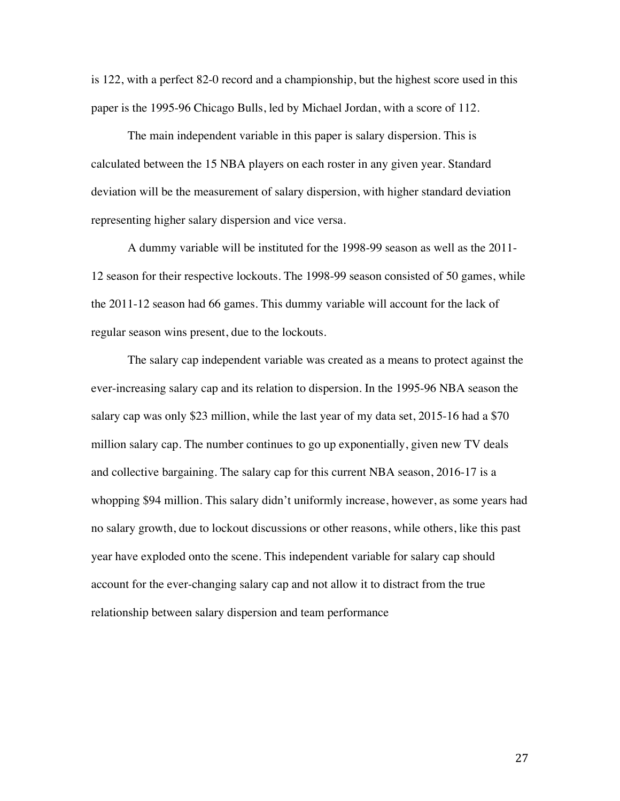is 122, with a perfect 82-0 record and a championship, but the highest score used in this paper is the 1995-96 Chicago Bulls, led by Michael Jordan, with a score of 112.

The main independent variable in this paper is salary dispersion. This is calculated between the 15 NBA players on each roster in any given year. Standard deviation will be the measurement of salary dispersion, with higher standard deviation representing higher salary dispersion and vice versa.

A dummy variable will be instituted for the 1998-99 season as well as the 2011- 12 season for their respective lockouts. The 1998-99 season consisted of 50 games, while the 2011-12 season had 66 games. This dummy variable will account for the lack of regular season wins present, due to the lockouts.

The salary cap independent variable was created as a means to protect against the ever-increasing salary cap and its relation to dispersion. In the 1995-96 NBA season the salary cap was only \$23 million, while the last year of my data set, 2015-16 had a \$70 million salary cap. The number continues to go up exponentially, given new TV deals and collective bargaining. The salary cap for this current NBA season, 2016-17 is a whopping \$94 million. This salary didn't uniformly increase, however, as some years had no salary growth, due to lockout discussions or other reasons, while others, like this past year have exploded onto the scene. This independent variable for salary cap should account for the ever-changing salary cap and not allow it to distract from the true relationship between salary dispersion and team performance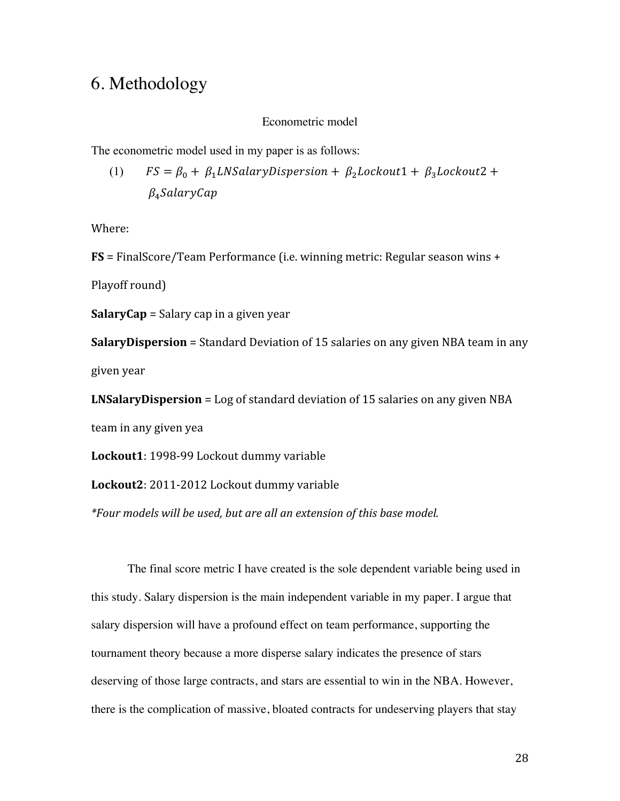## 6. Methodology

#### Econometric model

The econometric model used in my paper is as follows:

(1)  $FS = \beta_0 + \beta_1 LNSalaryDisversion + \beta_2 Lockout1 + \beta_3 Lockout2 +$  $\beta_4$ SalaryCap

Where:

**FS** = FinalScore/Team Performance (i.e. winning metric: Regular season wins +

Playoff round)

**SalaryCap** = Salary cap in a given year

**SalaryDispersion** = Standard Deviation of 15 salaries on any given NBA team in any given year

**LNSalaryDispersion** = Log of standard deviation of 15 salaries on any given NBA

team in any given yea

Lockout1: 1998-99 Lockout dummy variable

Lockout2: 2011-2012 Lockout dummy variable

*\*Four models will be used, but are all an extension of this base model.* 

The final score metric I have created is the sole dependent variable being used in this study. Salary dispersion is the main independent variable in my paper. I argue that salary dispersion will have a profound effect on team performance, supporting the tournament theory because a more disperse salary indicates the presence of stars deserving of those large contracts, and stars are essential to win in the NBA. However, there is the complication of massive, bloated contracts for undeserving players that stay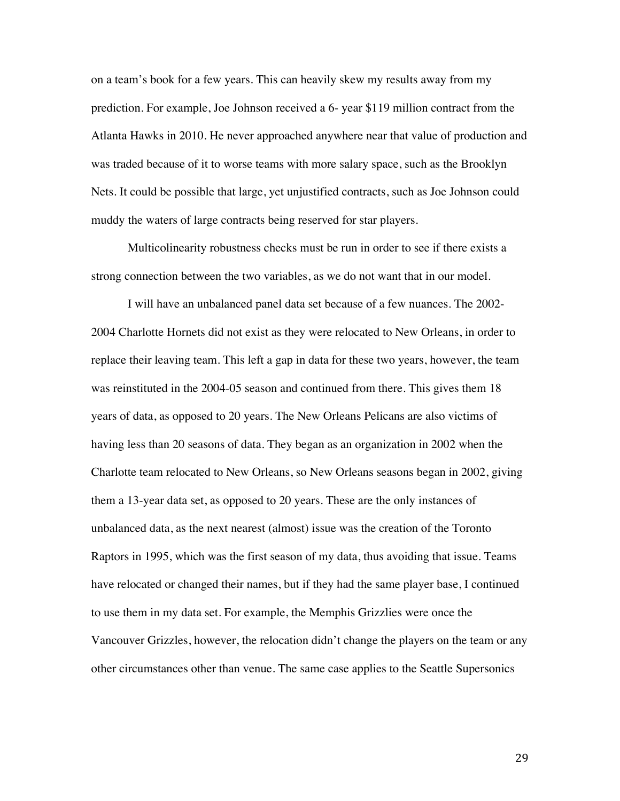on a team's book for a few years. This can heavily skew my results away from my prediction. For example, Joe Johnson received a 6- year \$119 million contract from the Atlanta Hawks in 2010. He never approached anywhere near that value of production and was traded because of it to worse teams with more salary space, such as the Brooklyn Nets. It could be possible that large, yet unjustified contracts, such as Joe Johnson could muddy the waters of large contracts being reserved for star players.

Multicolinearity robustness checks must be run in order to see if there exists a strong connection between the two variables, as we do not want that in our model.

I will have an unbalanced panel data set because of a few nuances. The 2002- 2004 Charlotte Hornets did not exist as they were relocated to New Orleans, in order to replace their leaving team. This left a gap in data for these two years, however, the team was reinstituted in the 2004-05 season and continued from there. This gives them 18 years of data, as opposed to 20 years. The New Orleans Pelicans are also victims of having less than 20 seasons of data. They began as an organization in 2002 when the Charlotte team relocated to New Orleans, so New Orleans seasons began in 2002, giving them a 13-year data set, as opposed to 20 years. These are the only instances of unbalanced data, as the next nearest (almost) issue was the creation of the Toronto Raptors in 1995, which was the first season of my data, thus avoiding that issue. Teams have relocated or changed their names, but if they had the same player base, I continued to use them in my data set. For example, the Memphis Grizzlies were once the Vancouver Grizzles, however, the relocation didn't change the players on the team or any other circumstances other than venue. The same case applies to the Seattle Supersonics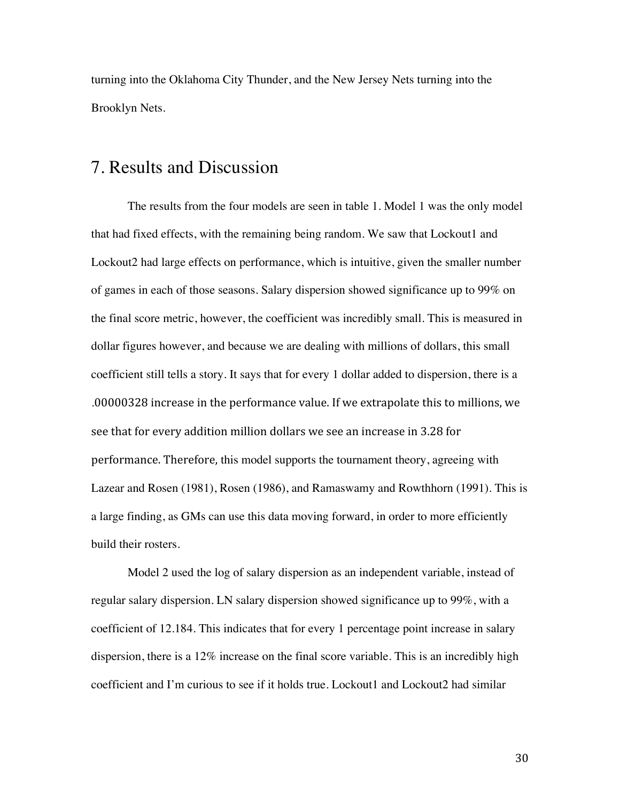turning into the Oklahoma City Thunder, and the New Jersey Nets turning into the Brooklyn Nets.

#### 7. Results and Discussion

The results from the four models are seen in table 1. Model 1 was the only model that had fixed effects, with the remaining being random. We saw that Lockout1 and Lockout2 had large effects on performance, which is intuitive, given the smaller number of games in each of those seasons. Salary dispersion showed significance up to 99% on the final score metric, however, the coefficient was incredibly small. This is measured in dollar figures however, and because we are dealing with millions of dollars, this small coefficient still tells a story. It says that for every 1 dollar added to dispersion, there is a .00000328 increase in the performance value. If we extrapolate this to millions, we see that for every addition million dollars we see an increase in 3.28 for performance. Therefore, this model supports the tournament theory, agreeing with Lazear and Rosen (1981), Rosen (1986), and Ramaswamy and Rowthhorn (1991). This is a large finding, as GMs can use this data moving forward, in order to more efficiently build their rosters.

Model 2 used the log of salary dispersion as an independent variable, instead of regular salary dispersion. LN salary dispersion showed significance up to 99%, with a coefficient of 12.184. This indicates that for every 1 percentage point increase in salary dispersion, there is a 12% increase on the final score variable. This is an incredibly high coefficient and I'm curious to see if it holds true. Lockout1 and Lockout2 had similar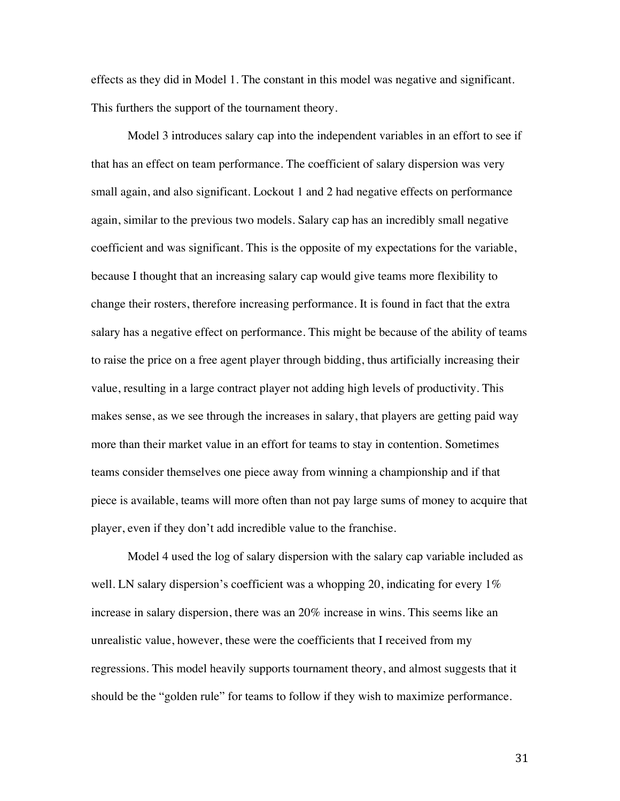effects as they did in Model 1. The constant in this model was negative and significant. This furthers the support of the tournament theory.

Model 3 introduces salary cap into the independent variables in an effort to see if that has an effect on team performance. The coefficient of salary dispersion was very small again, and also significant. Lockout 1 and 2 had negative effects on performance again, similar to the previous two models. Salary cap has an incredibly small negative coefficient and was significant. This is the opposite of my expectations for the variable, because I thought that an increasing salary cap would give teams more flexibility to change their rosters, therefore increasing performance. It is found in fact that the extra salary has a negative effect on performance. This might be because of the ability of teams to raise the price on a free agent player through bidding, thus artificially increasing their value, resulting in a large contract player not adding high levels of productivity. This makes sense, as we see through the increases in salary, that players are getting paid way more than their market value in an effort for teams to stay in contention. Sometimes teams consider themselves one piece away from winning a championship and if that piece is available, teams will more often than not pay large sums of money to acquire that player, even if they don't add incredible value to the franchise.

Model 4 used the log of salary dispersion with the salary cap variable included as well. LN salary dispersion's coefficient was a whopping 20, indicating for every  $1\%$ increase in salary dispersion, there was an 20% increase in wins. This seems like an unrealistic value, however, these were the coefficients that I received from my regressions. This model heavily supports tournament theory, and almost suggests that it should be the "golden rule" for teams to follow if they wish to maximize performance.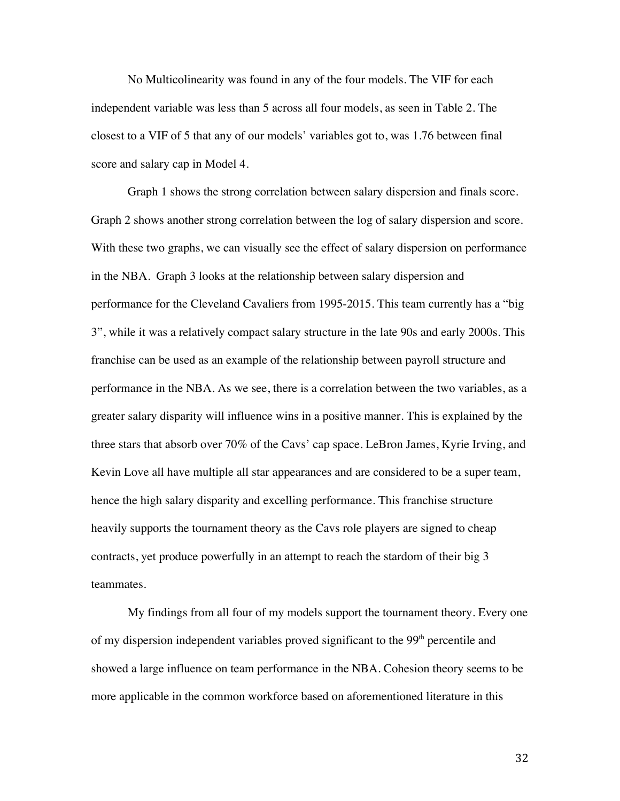No Multicolinearity was found in any of the four models. The VIF for each independent variable was less than 5 across all four models, as seen in Table 2. The closest to a VIF of 5 that any of our models' variables got to, was 1.76 between final score and salary cap in Model 4.

Graph 1 shows the strong correlation between salary dispersion and finals score. Graph 2 shows another strong correlation between the log of salary dispersion and score. With these two graphs, we can visually see the effect of salary dispersion on performance in the NBA. Graph 3 looks at the relationship between salary dispersion and performance for the Cleveland Cavaliers from 1995-2015. This team currently has a "big 3", while it was a relatively compact salary structure in the late 90s and early 2000s. This franchise can be used as an example of the relationship between payroll structure and performance in the NBA. As we see, there is a correlation between the two variables, as a greater salary disparity will influence wins in a positive manner. This is explained by the three stars that absorb over 70% of the Cavs' cap space. LeBron James, Kyrie Irving, and Kevin Love all have multiple all star appearances and are considered to be a super team, hence the high salary disparity and excelling performance. This franchise structure heavily supports the tournament theory as the Cavs role players are signed to cheap contracts, yet produce powerfully in an attempt to reach the stardom of their big 3 teammates.

My findings from all four of my models support the tournament theory. Every one of my dispersion independent variables proved significant to the 99<sup>th</sup> percentile and showed a large influence on team performance in the NBA. Cohesion theory seems to be more applicable in the common workforce based on aforementioned literature in this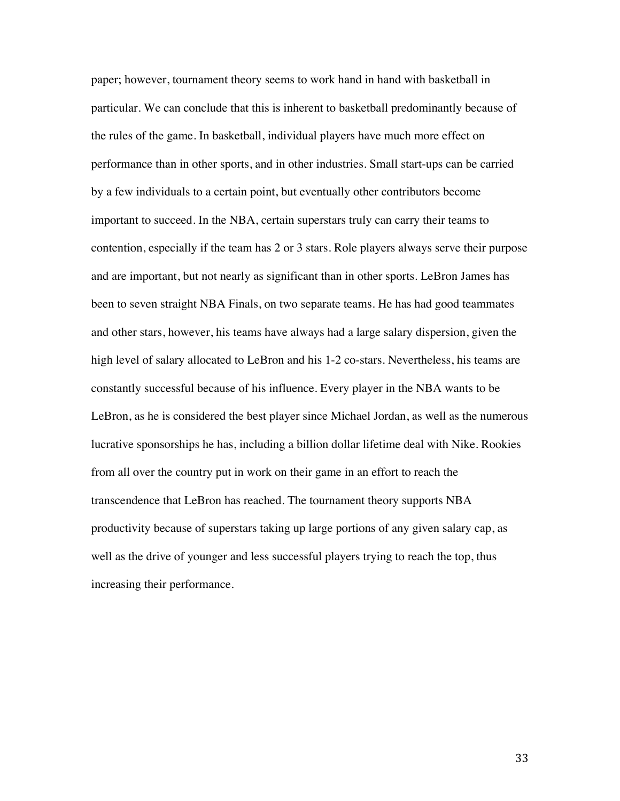paper; however, tournament theory seems to work hand in hand with basketball in particular. We can conclude that this is inherent to basketball predominantly because of the rules of the game. In basketball, individual players have much more effect on performance than in other sports, and in other industries. Small start-ups can be carried by a few individuals to a certain point, but eventually other contributors become important to succeed. In the NBA, certain superstars truly can carry their teams to contention, especially if the team has 2 or 3 stars. Role players always serve their purpose and are important, but not nearly as significant than in other sports. LeBron James has been to seven straight NBA Finals, on two separate teams. He has had good teammates and other stars, however, his teams have always had a large salary dispersion, given the high level of salary allocated to LeBron and his 1-2 co-stars. Nevertheless, his teams are constantly successful because of his influence. Every player in the NBA wants to be LeBron, as he is considered the best player since Michael Jordan, as well as the numerous lucrative sponsorships he has, including a billion dollar lifetime deal with Nike. Rookies from all over the country put in work on their game in an effort to reach the transcendence that LeBron has reached. The tournament theory supports NBA productivity because of superstars taking up large portions of any given salary cap, as well as the drive of younger and less successful players trying to reach the top, thus increasing their performance.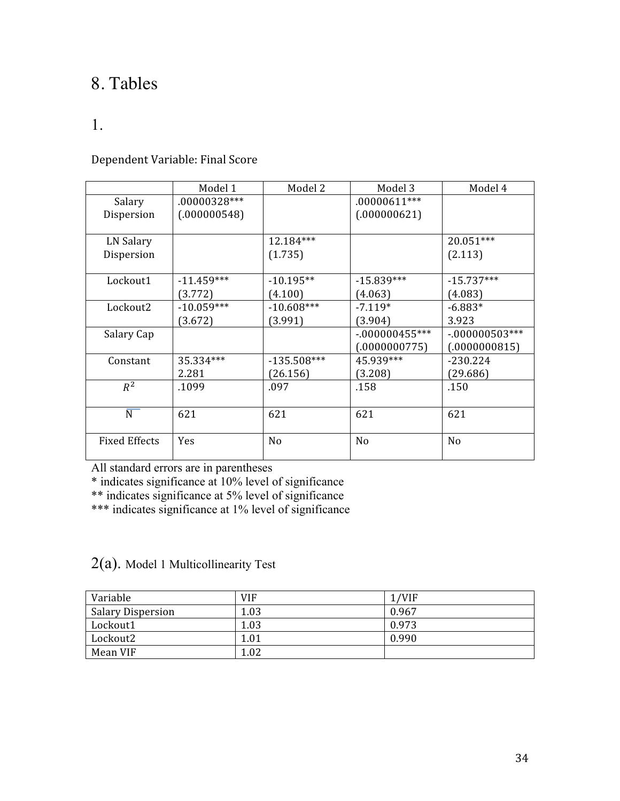## 8. Tables

#### 1.

#### Dependent Variable: Final Score

|                      | Model 1       | Model 2        | Model 3         | Model 4          |
|----------------------|---------------|----------------|-----------------|------------------|
| Salary               | .00000328 *** |                | $.00000611***$  |                  |
| Dispersion           | (.000000548)  |                | (.000000621)    |                  |
|                      |               |                |                 |                  |
| LN Salary            |               | 12.184***      |                 | $20.051***$      |
| Dispersion           |               | (1.735)        |                 | (2.113)          |
|                      |               |                |                 |                  |
| Lockout1             | $-11.459***$  | $-10.195**$    | $-15.839***$    | $-15.737***$     |
|                      | (3.772)       | (4.100)        | (4.063)         | (4.083)          |
| Lockout2             | $-10.059***$  | $-10.608***$   | $-7.119*$       | $-6.883*$        |
|                      | (3.672)       | (3.991)        | (3.904)         | 3.923            |
| Salary Cap           |               |                | $-000000455***$ | $-.000000503***$ |
|                      |               |                | (.0000000775)   | (.0000000815)    |
| Constant             | 35.334***     | $-135.508***$  | 45.939***       | $-230.224$       |
|                      | 2.281         | (26.156)       | (3.208)         | (29.686)         |
| $R^2$                | .1099         | .097           | .158            | .150             |
|                      |               |                |                 |                  |
| $\overline{N}$       | 621           | 621            | 621             | 621              |
|                      |               |                |                 |                  |
| <b>Fixed Effects</b> | <b>Yes</b>    | N <sub>0</sub> | No              | No               |
|                      |               |                |                 |                  |

All standard errors are in parentheses

\* indicates significance at 10% level of significance

\*\* indicates significance at 5% level of significance

\*\*\* indicates significance at 1% level of significance

2(a). Model 1 Multicollinearity Test

| Variable                 | <b>VIF</b> | 1/VIF |
|--------------------------|------------|-------|
| <b>Salary Dispersion</b> | 1.03       | 0.967 |
| Lockout1                 | 1.03       | 0.973 |
| Lockout2                 | 1.01       | 0.990 |
| Mean VIF                 | 1.02       |       |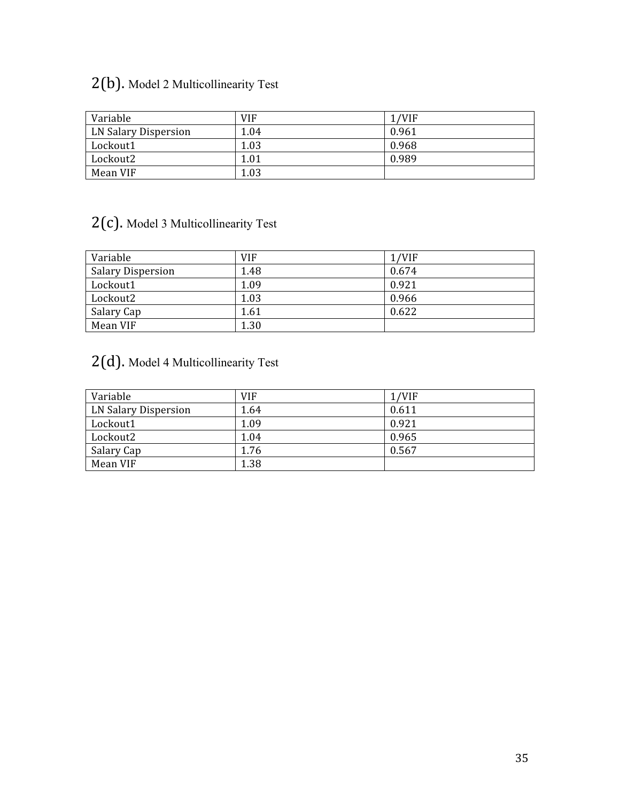# 2(b). Model 2 Multicollinearity Test

| Variable             | <b>VIF</b> | 1/VIF |
|----------------------|------------|-------|
| LN Salary Dispersion | 1.04       | 0.961 |
| Lockout1             | 1.03       | 0.968 |
| Lockout2             | 1.01       | 0.989 |
| Mean VIF             | 1.03       |       |

## 2(c). Model 3 Multicollinearity Test

| Variable                 | <b>VIF</b> | 1/VIF |
|--------------------------|------------|-------|
| <b>Salary Dispersion</b> | 1.48       | 0.674 |
| Lockout1                 | 1.09       | 0.921 |
| Lockout2                 | 1.03       | 0.966 |
| Salary Cap               | 1.61       | 0.622 |
| Mean VIF                 | 1.30       |       |

## 2(d). Model 4 Multicollinearity Test

| Variable             | <b>VIF</b> | 1/VIF |
|----------------------|------------|-------|
| LN Salary Dispersion | 1.64       | 0.611 |
| Lockout1             | 1.09       | 0.921 |
| Lockout2             | 1.04       | 0.965 |
| Salary Cap           | 1.76       | 0.567 |
| Mean VIF             | 1.38       |       |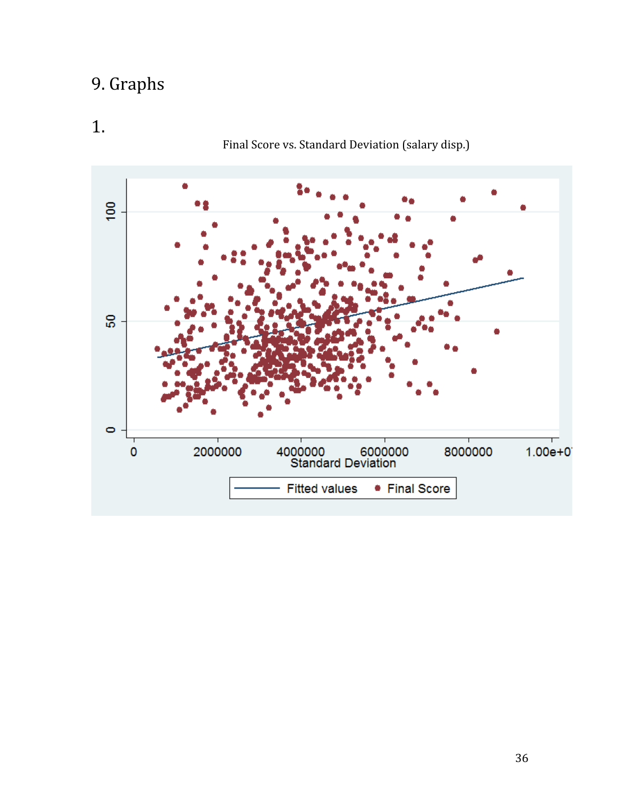# 9. Graphs

# 1.

## Final Score vs. Standard Deviation (salary disp.)

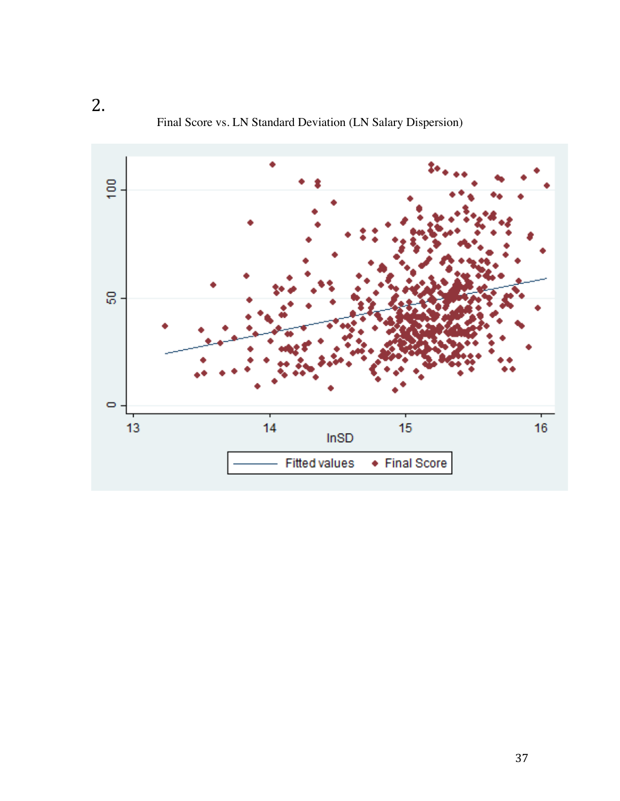$\frac{1}{2}$ នូ.  $\bullet$  $15\,$  $\overline{14}$  $13$  $16<sup>16</sup>$  $InSD$ • Final Score **Fitted values** 

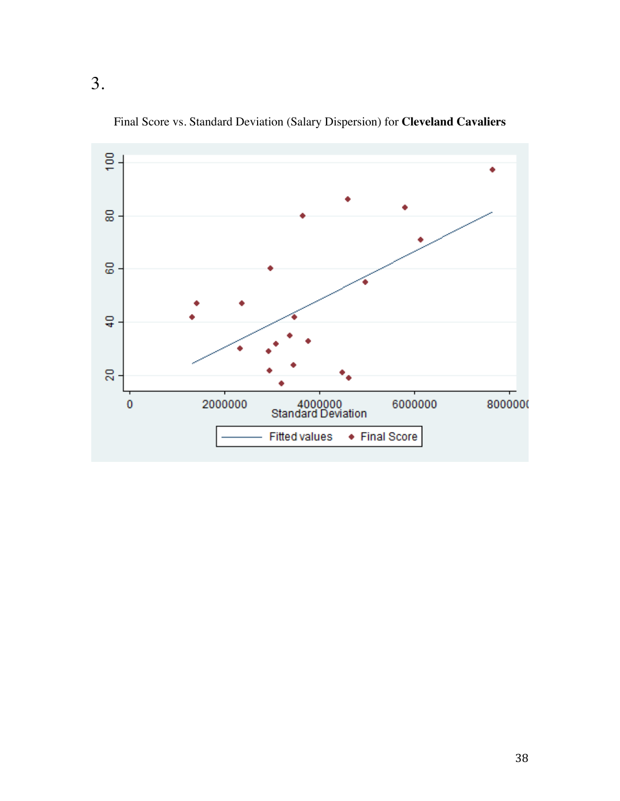

Final Score vs. Standard Deviation (Salary Dispersion) for **Cleveland Cavaliers**

3.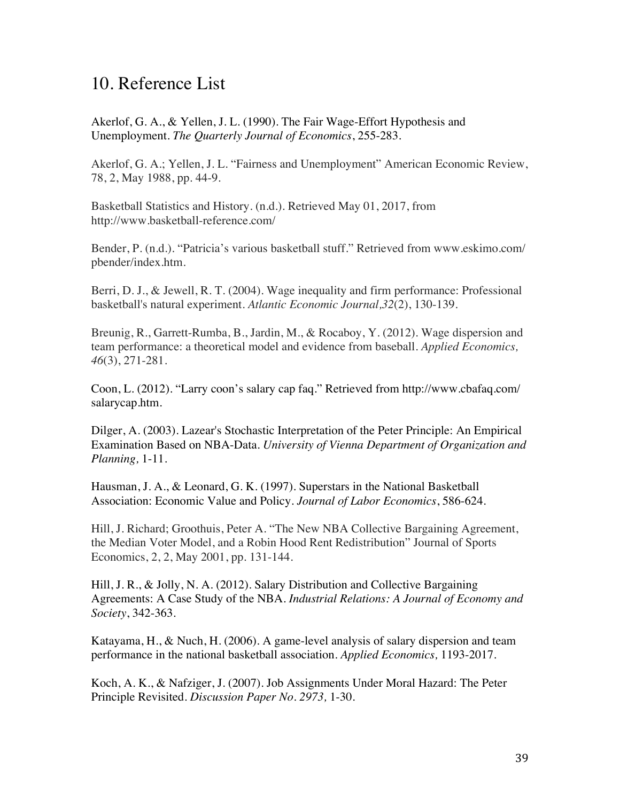## 10. Reference List

Akerlof, G. A., & Yellen, J. L. (1990). The Fair Wage-Effort Hypothesis and Unemployment. *The Quarterly Journal of Economics*, 255-283.

Akerlof, G. A.; Yellen, J. L. "Fairness and Unemployment" American Economic Review, 78, 2, May 1988, pp. 44-9.

Basketball Statistics and History. (n.d.). Retrieved May 01, 2017, from http://www.basketball-reference.com/

Bender, P. (n.d.). "Patricia's various basketball stuff." Retrieved from www.eskimo.com/ pbender/index.htm.

Berri, D. J., & Jewell, R. T. (2004). Wage inequality and firm performance: Professional basketball's natural experiment. *Atlantic Economic Journal,32*(2), 130-139.

Breunig, R., Garrett-Rumba, B., Jardin, M., & Rocaboy, Y. (2012). Wage dispersion and team performance: a theoretical model and evidence from baseball. *Applied Economics, 46*(3), 271-281.

Coon, L. (2012). "Larry coon's salary cap faq." Retrieved from http://www.cbafaq.com/ salarycap.htm.

Dilger, A. (2003). Lazear's Stochastic Interpretation of the Peter Principle: An Empirical Examination Based on NBA-Data. *University of Vienna Department of Organization and Planning,* 1-11.

Hausman, J. A., & Leonard, G. K. (1997). Superstars in the National Basketball Association: Economic Value and Policy. *Journal of Labor Economics*, 586-624.

Hill, J. Richard; Groothuis, Peter A. "The New NBA Collective Bargaining Agreement, the Median Voter Model, and a Robin Hood Rent Redistribution" Journal of Sports Economics, 2, 2, May 2001, pp. 131-144.

Hill, J. R., & Jolly, N. A. (2012). Salary Distribution and Collective Bargaining Agreements: A Case Study of the NBA. *Industrial Relations: A Journal of Economy and Society*, 342-363.

Katayama, H., & Nuch, H. (2006). A game-level analysis of salary dispersion and team performance in the national basketball association. *Applied Economics,* 1193-2017.

Koch, A. K., & Nafziger, J. (2007). Job Assignments Under Moral Hazard: The Peter Principle Revisited. *Discussion Paper No. 2973,* 1-30.